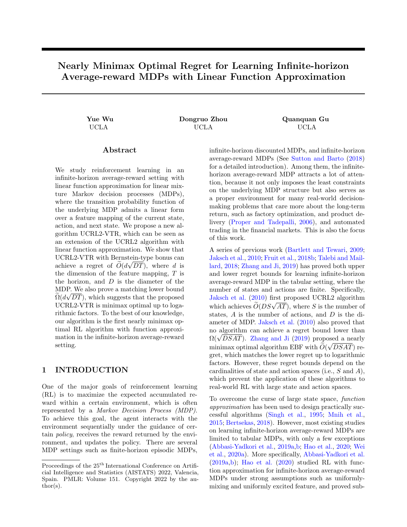# Nearly Minimax Optimal Regret for Learning Infinite-horizon Average-reward MDPs with Linear Function Approximation

Yue Wu Dongruo Zhou Quanquan Gu UCLA UCLA UCLA

# Abstract

We study reinforcement learning in an infinite-horizon average-reward setting with linear function approximation for linear mixture Markov decision processes (MDPs), where the transition probability function of the underlying MDP admits a linear form over a feature mapping of the current state, action, and next state. We propose a new algorithm UCRL2-VTR, which can be seen as an extension of the UCRL2 algorithm with linear function approximation. We show that UCRL2-VTR with Bernstein-type bonus can achieve a regret of  $O(d\sqrt{DT})$ , where d is the dimension of the feature mapping, T is the horizon, and  $D$  is the diameter of the MDP. We also prove a matching lower bound  $\Omega(d\sqrt{DT})$ , which suggests that the proposed UCRL2-VTR is minimax optimal up to logarithmic factors. To the best of our knowledge, our algorithm is the first nearly minimax optimal RL algorithm with function approximation in the infinite-horizon average-reward setting.

# 1 INTRODUCTION

One of the major goals of reinforcement learning (RL) is to maximize the expected accumulated reward within a certain environment, which is often represented by a Markov Decision Process (MDP). To achieve this goal, the agent interacts with the environment sequentially under the guidance of certain policy, receives the reward returned by the environment, and updates the policy. There are several MDP settings such as finite-horizon episodic MDPs, infinite-horizon discounted MDPs, and infinite-horizon average-reward MDPs (See [Sutton and Barto](#page--1-0) [\(2018\)](#page--1-0) for a detailed introduction). Among them, the infinitehorizon average-reward MDP attracts a lot of attention, because it not only imposes the least constraints on the underlying MDP structure but also serves as a proper environment for many real-world decisionmaking problems that care more about the long-term return, such as factory optimization, and product delivery [\(Proper and Tadepalli,](#page--1-1) [2006\)](#page--1-1), and automated trading in the financial markets. This is also the focus of this work.

A series of previous work [\(Bartlett and Tewari,](#page--1-2) [2009;](#page--1-2) [Jaksch et al.,](#page--1-3) [2010;](#page--1-3) [Fruit et al.,](#page--1-4) [2018b;](#page--1-4) [Talebi and Mail](#page--1-5)[lard,](#page--1-5) [2018;](#page--1-5) [Zhang and Ji,](#page--1-6) [2019\)](#page--1-6) has proved both upper and lower regret bounds for learning infinite-horizon average-reward MDP in the tabular setting, where the number of states and actions are finite. Specifically, [Jaksch et al.](#page--1-3) [\(2010\)](#page--1-3) first proposed UCRL2 algorithm values  $\widetilde{O}(DS\sqrt{AT})$ , where S is the number of states, A is the number of actions, and D is the diameter of MDP. [Jaksch et al.](#page--1-3) [\(2010\)](#page--1-3) also proved that no algorithm can achieve a regret bound lower than no algorithm can achieve a regret bound lower than<br> $\Omega(\sqrt{DSAT})$ . [Zhang and Ji](#page--1-6) [\(2019\)](#page--1-6) proposed a nearly minimax optimal algorithm EBF with  $O(\sqrt{DSAT})$  regret, which matches the lower regret up to logarithmic factors. However, these regret bounds depend on the cardinalities of state and action spaces (i.e., S and A), which prevent the application of these algorithms to real-world RL with large state and action spaces.

To overcome the curse of large state space, function approximation has been used to design practically successful algorithms [\(Singh et al.,](#page--1-7) [1995;](#page--1-7) [Mnih et al.,](#page--1-8) [2015;](#page--1-8) [Bertsekas,](#page--1-9) [2018\)](#page--1-9). However, most existing studies on learning infinite-horizon average-reward MDPs are limited to tabular MDPs, with only a few exceptions [\(Abbasi-Yadkori et al.,](#page--1-10) [2019a,](#page--1-10)[b;](#page--1-11) [Hao et al.,](#page--1-12) [2020;](#page--1-12) [Wei](#page--1-13) [et al.,](#page--1-13) [2020a\)](#page--1-13). More specifically, [Abbasi-Yadkori et al.](#page--1-10)  $(2019a,b)$  $(2019a,b)$ ; [Hao et al.](#page--1-12)  $(2020)$  studied RL with function approximation for infinite-horizon average-reward MDPs under strong assumptions such as uniformlymixing and uniformly excited feature, and proved sub-

Proceedings of the  $25<sup>th</sup>$  International Conference on Artificial Intelligence and Statistics (AISTATS) 2022, Valencia, Spain. PMLR: Volume 151. Copyright 2022 by the au- $\text{thor}(s)$ .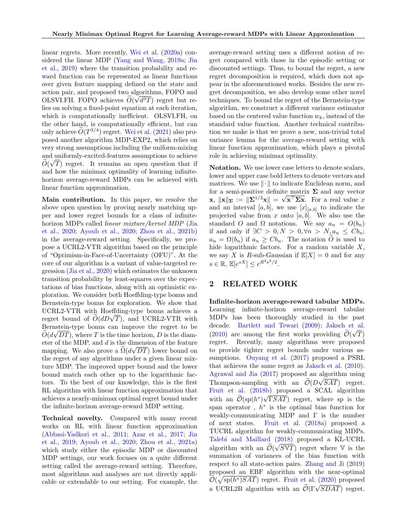linear regrets. More recently, [Wei et al.](#page--1-13) [\(2020a\)](#page--1-13) considered the linear MDP [\(Yang and Wang,](#page--1-14) [2019a;](#page--1-14) [Jin](#page--1-15) [et al.,](#page--1-15) [2019\)](#page--1-15) where the transition probability and reward function can be represented as linear functions over given feature mapping defined on the state and action pair, and proposed two algorithms, FOPO and OLSVI.FH. FOPO achieves  $O(\sqrt{d^3T})$  regret but relies on solving a fixed-point equation at each iteration, which is computationally inefficient. OLSVI.FH, on the other hand, is computationally efficient, but can only achieve  $\tilde{O}(T^{3/4})$  regret. [Wei et al.](#page--1-16) [\(2021\)](#page--1-16) also proposed another algorithm MDP-EXP2, which relies on very strong assumptions including the uniform-mixing and uniformly-excited-features assumptions to achieve  $O(\sqrt{T})$  regret. It remains an open question that if and how the minimax optimality of learning infinitehorizon average-reward MDPs can be achieved with linear function approximation.

Main contribution. In this paper, we resolve the above open question by proving nearly matching upper and lower regret bounds for a class of infinitehorizon MDPs called linear mixture/kernel MDP [\(Jia](#page--1-17) [et al.,](#page--1-17) [2020;](#page--1-17) [Ayoub et al.,](#page--1-18) [2020;](#page--1-18) [Zhou et al.,](#page--1-19) [2021b\)](#page--1-19) in the average-reward setting. Specifically, we propose a UCRL2-VTR algorithm based on the principle of "Optimism-in-Face-of-Uncertainty (OFU)". At the core of our algorithm is a variant of value-targeted regression [\(Jia et al.,](#page--1-17) [2020\)](#page--1-17) which estimates the unknown transition probability by least-squares over the expectations of bias functions, along with an optimistic exploration. We consider both Hoeffding-type bonus and Bernstein-type bonus for exploration. We show that UCRL2-VTR with Hoeffding-type bonus achieves a UCRL2-VTR with Hoeffding-type bonus achieves a<br>regret bound of  $\widetilde{O}(dD\sqrt{T})$ , and UCRL2-VTR with Bernstein-type bonus can improve the regret to be  $O(d\sqrt{DT})$ , where T is the time horizon, D is the diameter of the MDP, and d is the dimension of the feature mapping. We also prove a  $\Omega(d\sqrt{DT})$  lower bound on the regret of any algorithms under a given linear mixture MDP. The improved upper bound and the lower bound match each other up to the logarithmic factors. To the best of our knowledge, this is the first RL algorithm with linear function approximation that achieves a nearly-minimax optimal regret bound under the infinite-horizon average-reward MDP setting.

Technical novelty. Compared with many recent works on RL with linear function approximation [\(Abbasi-Yadkori et al.,](#page--1-20) [2011;](#page--1-20) [Azar et al.,](#page--1-21) [2017;](#page--1-21) [Jin](#page--1-15) [et al.,](#page--1-15) [2019;](#page--1-15) [Ayoub et al.,](#page--1-18) [2020;](#page--1-18) [Zhou et al.,](#page--1-22) [2021a\)](#page--1-22) which study either the episodic MDP or discounted MDP settings, our work focuses on a quite different setting called the average-reward setting. Therefore, most algorithms and analyses are not directly applicable or extendable to our setting. For example, the average-reward setting uses a different notion of regret compared with those in the episodic setting or discounted settings. Thus, to bound the regret, a new regret decomposition is required, which does not appear in the aforementioned works. Besides the new regret decomposition, we also develop some other novel techniques. To bound the regret of the Bernstein-type algorithm, we construct a different variance estimator based on the centered value function  $w_k$ , instead of the standard value function. Another technical contribution we make is that we prove a new, non-trivial total variance lemma for the average-reward setting with linear function approximation, which plays a pivotal role in achieving minimax optimality.

Notation. We use lower case letters to denote scalars, lower and upper case bold letters to denote vectors and matrices. We use  $\|\cdot\|$  to indicate Euclidean norm, and for a semi-positive definite matrix  $\Sigma$  and any vector  $\mathbf{x}, \| \mathbf{x} \|_{\mathbf{\Sigma}} := \| \mathbf{\Sigma}^{1/2} \mathbf{x} \| = \sqrt{\mathbf{x}^{\top} \mathbf{\Sigma} \mathbf{x}}.$  For a real value x and an interval [a, b], we use  $[x]_{[a,b]}$  to indicate the projected value from x onto  $[a, b]$ . We also use the standard O and  $\Omega$  notations. We say  $a_n = O(b_n)$ if and only if  $\exists C > 0, N > 0, \forall n > N, a_n \leq Cb_n;$  $a_n = \Omega(b_n)$  if  $a_n \geq Cb_n$ . The notation O is used to hide logarithmic factors. For a random variable  $X$ , we say X is R-sub-Gaussian if  $\mathbb{E}[X] = 0$  and for any  $s \in \mathbb{R}, \, \mathbb{E}[e^{sX}] \leq e^{R^2 s^2/2}.$ 

# 2 RELATED WORK

Infinite-horizon average-reward tabular MDPs. Learning infinite-horizon average-reward tabular MDPs has been thoroughly studied in the past decade. [Bartlett and Tewari](#page--1-2) [\(2009\)](#page--1-2); [Jaksch et al.](#page--1-3) [\(2010\)](#page--1-3) are among the first works providing  $\mathcal{O}(\sqrt{T})$ regret. Recently, many algorithms were proposed to provide tighter regret bounds under various assumptions. [Ouyang et al.](#page--1-23) [\(2017\)](#page--1-23) proposed a PSRL that achieves the same regret as [Jaksch et al.](#page--1-3) [\(2010\)](#page--1-3). [Agrawal and Jia](#page--1-24) [\(2017\)](#page--1-24) proposed an algorithm using Thompson-sampling with an  $\mathcal{O}(D\sqrt{SAT})$  regret. [Fruit et al.](#page--1-4)  $(2018b)$  proposed a SCAL algorithm with an  $\mathcal{O}(\text{sp}(h^*)\sqrt{\text{rSAT}})$  regret, where sp is the span operator,  $h^*$  is the optimal bias function for weakly-communicating MDP and  $\Gamma$  is the number of next states. [Fruit et al.](#page--1-25) [\(2018a\)](#page--1-25) proposed a TUCRL algorithm for weakly-communicating MDPs. [Talebi and Maillard](#page--1-5)  $(2018)$  proposed a KL-UCRL algorithm with an  $\widetilde{\mathcal{O}}(\sqrt{S\mathbb{V}T})$  regret where  $\mathbb {V}$  is the summation of variances of the bias function with respect to all state-action pairs. [Zhang and Ji](#page--1-6) [\(2019\)](#page--1-6) proposed an EBF algorithm with the near-optimal  $\widetilde{\mathcal{O}}(\sqrt{\text{sp}(h^*)SAT})$  regret. [Fruit et al.](#page--1-26)  $(2020)$  proposed  $\mathcal{O}(\sqrt{\text{sp}}(n))$  bar) regret. Fruit et al. (2020) proposed<br>a UCRL2B algorithm with an  $\mathcal{O}(\Gamma \sqrt{SDAT})$  regret.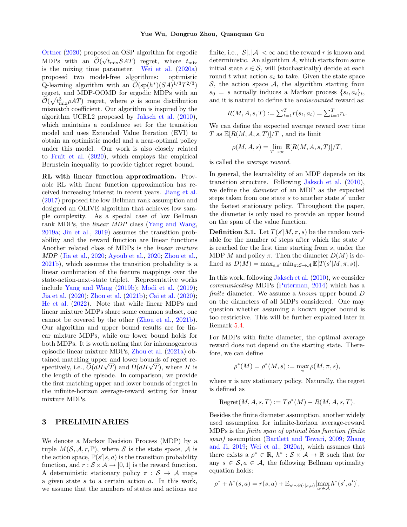[Ortner](#page--1-27) [\(2020\)](#page--1-27) proposed an OSP algorithm for ergodic MDPs with an  $\mathcal{O}(\sqrt{t_{\text{mix}}SAT})$  regret, where  $t_{\text{mix}}$ is the mixing time parameter. [Wei et al.](#page--1-13) [\(2020a\)](#page--1-13) proposed two model-free algorithms: optimistic Q-learning algorithm with an  $\widetilde{\mathcal{O}}(\mathrm{sp}(h^*)(SA)^{1/3}T^{2/3})$ regret, and MDP-OOMD for ergodic MDPs with an  $\tilde{\mathcal{O}}(\sqrt{t_{\text{mix}}^3 \rho A T})$  regret, where  $\rho$  is some distribution mismatch coefficient. Our algorithm is inspired by the algorithm UCRL2 proposed by [Jaksch et al.](#page--1-3) [\(2010\)](#page--1-3), which maintains a confidence set for the transition model and uses Extended Value Iteration (EVI) to obtain an optimistic model and a near-optimal policy under this model. Our work is also closely related to [Fruit et al.](#page--1-26) [\(2020\)](#page--1-26), which employs the empirical Bernstein inequality to provide tighter regret bound.

RL with linear function approximation. Provable RL with linear function approximation has received increasing interest in recent years. [Jiang et al.](#page--1-28) [\(2017\)](#page--1-28) proposed the low Bellman rank assumption and designed an OLIVE algorithm that achieves low sample complexity. As a special case of low Bellman rank MDPs, the *linear MDP* class [\(Yang and Wang,](#page--1-14) [2019a;](#page--1-14) [Jin et al.,](#page--1-15) [2019\)](#page--1-15) assumes the transition probability and the reward function are linear functions Another related class of MDPs is the linear mixture MDP [\(Jia et al.,](#page--1-17) [2020;](#page--1-17) [Ayoub et al.,](#page--1-18) [2020;](#page--1-18) [Zhou et al.,](#page--1-19) [2021b\)](#page--1-19), which assumes the transition probability is a linear combination of the feature mappings over the state-action-next-state triplet. Representative works include [Yang and Wang](#page--1-29) [\(2019b\)](#page--1-29); [Modi et al.](#page--1-30) [\(2019\)](#page--1-30); [Jia et al.](#page--1-17) [\(2020\)](#page--1-17); [Zhou et al.](#page--1-19) [\(2021b\)](#page--1-19); [Cai et al.](#page--1-31) [\(2020\)](#page--1-31); [He et al.](#page--1-32) [\(2022\)](#page--1-32). Note that while linear MDPs and linear mixture MDPs share some common subset, one cannot be covered by the other [\(Zhou et al.,](#page--1-19) [2021b\)](#page--1-19). Our algorithm and upper bound results are for linear mixture MDPs, while our lower bound holds for both MDPs. It is worth noting that for inhomogeneous episodic linear mixture MDPs, [Zhou et al.](#page--1-22) [\(2021a\)](#page--1-22) obtained matching upper and lower bounds of regret retained matching upper and lower bounds of regret re-<br>spectively, i.e.,  $\widetilde{O}(dH\sqrt{T})$  and  $\Omega(dH\sqrt{T})$ , where H is the length of the episode. In comparison, we provide the first matching upper and lower bounds of regret in the infinite-horizon average-reward setting for linear mixture MDPs.

### 3 PRELIMINARIES

We denote a Markov Decision Process (MDP) by a tuple  $M(S, \mathcal{A}, r, \mathbb{P})$ , where S is the state space, A is the action space,  $\mathbb{P}(s'|s, a)$  is the transition probability function, and  $r : S \times A \rightarrow [0, 1]$  is the reward function. A deterministic stationary policy  $\pi : \mathcal{S} \to \mathcal{A}$  maps a given state s to a certain action a. In this work, we assume that the numbers of states and actions are finite, i.e.,  $|\mathcal{S}|$ ,  $|\mathcal{A}| < \infty$  and the reward r is known and deterministic. An algorithm  $A$ , which starts from some initial state  $s \in \mathcal{S}$ , will (stochastically) decide at each round t what action  $a_t$  to take. Given the state space  $S$ , the action space  $A$ , the algorithm starting from  $s_0 = s$  actually induces a Markov process  $\{s_t, a_t\}_t$ , and it is natural to define the undiscounted reward as:

$$
R(M, A, s, T) := \sum_{t=1}^{T} r(s_t, a_t) = \sum_{t=1}^{T} r_t.
$$

We can define the expected average reward over time T as  $\mathbb{E}[R(M, A, s, T)]/T$ , and its limit

$$
\rho(M, A, s) = \lim_{T \to \infty} \mathbb{E}[R(M, A, s, T)]/T,
$$

is called the average reward.

In general, the learnability of an MDP depends on its transition structure. Following [Jaksch et al.](#page--1-3) [\(2010\)](#page--1-3), we define the diameter of an MDP as the expected steps taken from one state  $s$  to another state  $s'$  under the fastest stationary policy. Throughout the paper, the diameter is only used to provide an upper bound on the span of the value function.

**Definition 3.1.** Let  $T(s'|M, \pi, s)$  be the random variable for the number of steps after which the state  $s'$ is reached for the first time starting from s, under the MDP M and policy  $\pi$ . Then the diameter  $D(M)$  is defined as  $D(M) = \max_{s,s'} \min_{\pi: \mathcal{S} \to \mathcal{A}} \mathbb{E}[T(s'|M, \pi, s)].$ 

In this work, following [Jaksch et al.](#page--1-3) [\(2010\)](#page--1-3), we consider communicating MDPs [\(Puterman,](#page--1-33) [2014\)](#page--1-33) which has a finite diameter. We assume a known upper bound D on the diameters of all MDPs considered. One may question whether assuming a known upper bound is too restrictive. This will be further explained later in Remark [5.4.](#page--1-34)

For MDPs with finite diameter, the optimal average reward does not depend on the starting state. Therefore, we can define

$$
\rho^*(M) = \rho^*(M, s) := \max_{\pi} \rho(M, \pi, s),
$$

where  $\pi$  is any stationary policy. Naturally, the regret is defined as

$$
Regret(M, A, s, T) := T \rho^*(M) - R(M, A, s, T).
$$

Besides the finite diameter assumption, another widely used assumption for infinite-horizon average-reward MDPs is the finite span of optimal bias function (finite span) assumption [\(Bartlett and Tewari,](#page--1-2) [2009;](#page--1-2) [Zhang](#page--1-6) [and Ji,](#page--1-6) [2019;](#page--1-6) [Wei et al.,](#page--1-13) [2020a\)](#page--1-13), which assumes that there exists a  $\rho^* \in \mathbb{R}$ ,  $h^* : \mathcal{S} \times \mathcal{A} \to \mathbb{R}$  such that for any  $s \in \mathcal{S}, a \in \mathcal{A}$ , the following Bellman optimality equation holds:

$$
\rho^* + h^*(s, a) = r(s, a) + \mathbb{E}_{s' \sim \mathbb{P}(\cdot | s, a)}[\max_{a' \in \mathcal{A}} h^*(s', a')],
$$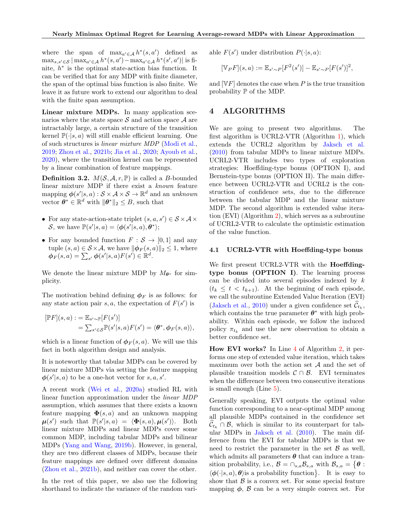where the span of  $\max_{a' \in \mathcal{A}} h^*(s, a')$  defined as  $\max_{s,s'\in\mathcal{S}}|\max_{a'\in\mathcal{A}}h^*(s,a') - \max_{a'\in\mathcal{A}}h^*(s',a')|$  is finite,  $h^*$  is the optimal state-action bias function. It can be verified that for any MDP with finite diameter, the span of the optimal bias function is also finite. We leave it as future work to extend our algorithm to deal with the finite span assumption.

Linear mixture MDPs. In many application scenarios where the state space  $S$  and action space  $A$  are intractably large, a certain structure of the transition kernel  $\mathbb{P}(\cdot|s, a)$  will still enable efficient learning. One of such structures is linear mixture MDP [\(Modi et al.,](#page--1-30) [2019;](#page--1-30) [Zhou et al.,](#page--1-19) [2021b;](#page--1-19) [Jia et al.,](#page--1-17) [2020;](#page--1-17) [Ayoub et al.,](#page--1-18) [2020\)](#page--1-18), where the transition kernel can be represented by a linear combination of feature mappings.

**Definition 3.2.**  $M(S, \mathcal{A}, r, \mathbb{P})$  is called a B-bounded linear mixture MDP if there exist a known feature mapping  $\phi(s'|s, a) : \mathcal{S} \times \mathcal{A} \times \mathcal{S} \rightarrow \mathbb{R}^d$  and an unknown vector  $\boldsymbol{\theta}^* \in \mathbb{R}^d$  with  $\|\boldsymbol{\theta}^*\|_2 \leq B$ , such that

- For any state-action-state triplet  $(s, a, s') \in \mathcal{S} \times \mathcal{A} \times$ S, we have  $\mathbb{P}(s'|s,a) = \langle \boldsymbol{\phi}(s'|s,a), \boldsymbol{\theta}^* \rangle;$
- For any bounded function  $F : \mathcal{S} \to [0, 1]$  and any tuple  $(s, a) \in \mathcal{S} \times \mathcal{A}$ , we have  $\|\boldsymbol{\phi}_F(s, a)\|_2 \leq 1$ , where  $\boldsymbol{\phi}_F (s,a) = \sum_{s'} \boldsymbol{\phi}(s'|s,a) F(s') \in \mathbb{R}^d.$

We denote the linear mixture MDP by  $M_{\theta^*}$  for simplicity.

The motivation behind defining  $\phi_F$  is as follows: for any state action pair  $s, a$ , the expectation of  $F(s')$  is

$$
[\mathbb{P}F](s,a) := \mathbb{E}_{s' \sim \mathbb{P}}[F(s')]
$$
  
=  $\sum_{s' \in \mathcal{S}} \mathbb{P}(s'|s,a)F(s') = \langle \boldsymbol{\theta}^*, \boldsymbol{\phi}_F(s,a) \rangle$ ,

which is a linear function of  $\phi_F(s, a)$ . We will use this fact in both algorithm design and analysis.

It is noteworthy that tabular MDPs can be covered by linear mixture MDPs via setting the feature mapping  $\phi(s'|s, a)$  to be a one-hot vector for s, a, s'.

A recent work [\(Wei et al.,](#page--1-13) [2020a\)](#page--1-13) studied RL with linear function approximation under the linear MDP assumption, which assumes that there exists a known feature mapping  $\mathbf{\Phi}(s, a)$  and an unknown mapping  $\mu(s')$  such that  $\mathbb{P}(s'|s,a) = \langle \Phi(s,a), \mu(s') \rangle$ . Both linear mixture MDPs and linear MDPs cover some common MDP, including tabular MDPs and bilinear MDPs [\(Yang and Wang,](#page--1-29) [2019b\)](#page--1-29). However, in general, they are two different classes of MDPs, because their feature mappings are defined over different domains [\(Zhou et al.,](#page--1-19) [2021b\)](#page--1-19), and neither can cover the other.

In the rest of this paper, we also use the following shorthand to indicate the variance of the random variable  $F(s')$  under distribution  $P(\cdot|s, a)$ :

$$
[\mathbb{V}_P F](s, a) := \mathbb{E}_{s' \sim P} [F^2(s')] - \mathbb{E}_{s' \sim P} [F(s')]^2,
$$

and  $[\nabla F]$  denotes the case when P is the true transition probability  $\mathbb P$  of the MDP.

# 4 ALGORITHMS

We are going to present two algorithms. The first algorithm is UCRL2-VTR (Algorithm [1\)](#page--1-35), which extends the UCRL2 algorithm by [Jaksch et al.](#page--1-3) [\(2010\)](#page--1-3) from tabular MDPs to linear mixture MDPs. UCRL2-VTR includes two types of exploration strategies: Hoeffding-type bonus (OPTION I), and Bernstein-type bonus (OPTION II). The main difference between UCRL2-VTR and UCRL2 is the construction of confidence sets, due to the difference between the tabular MDP and the linear mixture MDP. The second algorithm is extended value iteration (EVI) (Algorithm [2\)](#page--1-36), which serves as a subroutine of UCRL2-VTR to calculate the optimistic estimation of the value function.

### 4.1 UCRL2-VTR with Hoeffding-type bonus

We first present UCRL2-VTR with the **Hoeffding**type bonus (OPTION I). The learning process can be divided into several episodes indexed by  $k$  $(t_k \leq t < t_{k+1})$ . At the beginning of each episode, we call the subroutine Extended Value Iteration (EVI) [\(Jaksch et al.,](#page--1-3) [2010\)](#page--1-3) under a given confidence set  $\mathcal{C}_{t_k}$ , which contains the true parameter  $\theta^*$  with high probability. Within each episode, we follow the induced policy  $\pi_{t_k}$  and use the new observation to obtain a better confidence set.

How EVI works? In Line [4](#page--1-37) of Algorithm [2,](#page--1-36) it performs one step of extended value iteration, which takes maximum over both the action set  $A$  and the set of plausible transition models  $C \cap B$ . EVI terminates when the difference between two consecutive iterations is small enough (Line [5\)](#page--1-38).

Generally speaking, EVI outputs the optimal value function corresponding to a near-optimal MDP among all plausible MDPs contained in the confidence set  $\tilde{\mathcal{C}}_{t_k} \cap \mathcal{B}$ , which is similar to its counterpart for tabular MDPs in [Jaksch et al.](#page--1-3) [\(2010\)](#page--1-3). The main difference from the EVI for tabular MDPs is that we need to restrict the parameter in the set  $\beta$  as well, which admits all parameters  $\theta$  that can induce a transition probability, i.e.,  $\mathcal{B} = \cap_{s,a} \mathcal{B}_{s,a}$  with  $\mathcal{B}_{s,a} = \{\theta :$  $\langle \phi(\cdot|s, a), \theta \rangle$  is a probability function }. It is easy to show that  $\beta$  is a convex set. For some special feature mapping  $\phi$ ,  $\beta$  can be a very simple convex set. For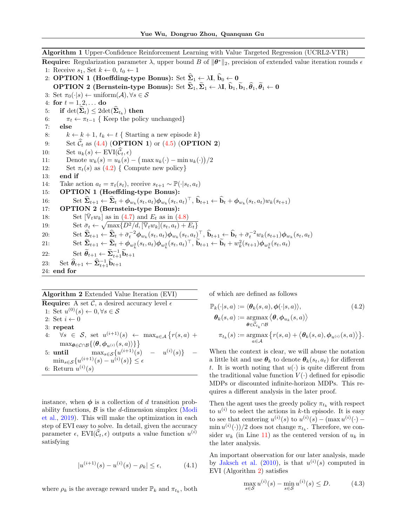Algorithm 1 Upper-Confidence Reinforcement Learning with Value Targeted Regression (UCRL2-VTR) **Require:** Regularization parameter  $\lambda$ , upper bound B of  $\|\theta^*\|_2$ , precision of extended value iteration rounds  $\epsilon$ 1: Receive  $s_1$ , Set  $k \leftarrow 0, t_0 \leftarrow 1$ 2: OPTION 1 (Hoeffding-type Bonus): Set  $\hat{\Sigma}_1 \leftarrow \lambda I$ ,  $\hat{b}_0 \leftarrow 0$ OPTION 2 (Bernstein-type Bonus): Set  $\widehat{\Sigma}_1, \widetilde{\Sigma}_1 \leftarrow \lambda I$ ,  $\widehat{b}_1, \widetilde{b}_1, \widehat{\theta}_1 \leftarrow 0$ 3: Set  $\pi_0(\cdot|s) \leftarrow \text{uniform}(\mathcal{A}), \forall s \in \mathcal{S}$ 4: for  $t = 1, 2, ...$  do 5: if  $\det(\mathbf{\Sigma}_t) \leq 2 \det(\mathbf{\Sigma}_{t_k})$  then 6:  $\pi_t \leftarrow \pi_{t-1}$  { Keep the policy unchanged} 7: else 8:  $k \leftarrow k + 1, t_k \leftarrow t \{$  Starting a new episode k} 9: Set  $\widehat{C}_t$  as [\(4.4\)](#page--1-39) (**OPTION 1**) or [\(4.5\)](#page--1-40) (**OPTION 2**)<br>10: Set  $u_k(s) \leftarrow \text{EVI}(\widehat{C}_t, \epsilon)$ 10: Set  $u_k(s) \leftarrow \text{EVI}(\widehat{C}_t, \epsilon)$ <br>11: Denote  $w_k(s) = u_k(s)$ 11: Denote  $w_k(s) = u_k(s) - \left(\max u_k(\cdot) - \min u_k(\cdot)\right)/2$ 12: Set  $\pi_t(s)$  as  $(4.2)$  { Compute new policy} 13: end if 14: Take action  $a_t = \pi_t(s_t)$ , receive  $s_{t+1} \sim \mathbb{P}(\cdot | s_t, a_t)$ 15: OPTION 1 (Hoeffding-type Bonus): 16: Set  $\hat{\Sigma}_{t+1} \leftarrow \hat{\Sigma}_t + \phi_{w_k}(s_t, a_t) \phi_{w_k}(s_t, a_t)^\top$ ,  $\hat{\mathbf{b}}_{t+1} \leftarrow \hat{\mathbf{b}}_t + \phi_{w_k}(s_t, a_t) w_k(s_{t+1})$ 17: OPTION 2 (Bernstein-type Bonus): 18: Set  $[\bar{\mathbb{V}}_t w_k]$  as in [\(4.7\)](#page--1-42) and  $E_t$  as in [\(4.8\)](#page--1-43) 19: Set  $\bar{\sigma}_t \leftarrow \sqrt{\max\{D^2/d, [\bar{\mathbb{V}}_t w_k](s_t, a_t) + E_t\}}$ 20: Set  $\widehat{\Sigma}_{t+1} \leftarrow \widehat{\Sigma}_t + \bar{\sigma}_t^{-2} \phi_{w_k}(s_t, a_t) \phi_{w_k}(s_t, a_t)^\top, \widehat{\mathbf{b}}_{t+1} \leftarrow \widehat{\mathbf{b}}_t + \bar{\sigma}_t^{-2} w_k(s_{t+1}) \phi_{w_k}(s_t, a_t)$ 21: Set  $\sum_{t+1}^{\infty} \leftarrow \sum_{t}^{\infty} + \phi_{w_k^2}(s_t, a_t) \phi_{w_k^2}(s_t, a_t)^\top$ ,  $\widetilde{\mathbf{b}}_{t+1} \leftarrow \widetilde{\mathbf{b}}_t + w_k^2(s_{t+1}) \phi_{w_k^2}(s_t, a_t)$ 22: Set  $\widetilde{\theta}_{t+1} \leftarrow \widetilde{\Sigma}_{t+1}^{-1} \widetilde{\mathbf{b}}_{t+1}$ 23: Set  $\widehat{\theta}_{t+1} \leftarrow \widehat{\mathbf{\Sigma}}_{t+1}^{-1} \widehat{\mathbf{b}}_{t+1}$ 24: end for

### Algorithm 2 Extended Value Iteration (EVI)

**Require:** A set  $\mathcal{C}$ , a desired accuracy level  $\epsilon$ 1: Set  $u^{(0)}(s) \leftarrow 0, \forall s \in \mathcal{S}$ 2: Set  $i \leftarrow 0$ 3: repeat 4:  $\forall s \in S$ , set  $u^{(i+1)}(s) \leftarrow \max_{a \in A} \{r(s,a) +$  $\max_{\boldsymbol{\theta} \in \mathcal{C} \cap \mathcal{B}} \{ \langle \boldsymbol{\theta}, \boldsymbol{\phi}_{u^{(i)}}(s, a) \rangle \} \}$ 5: **until**  $\max_{s \in S} \{u^{(i+1)}(s) - u^{(i)}(s)\}$  –  $\min_{s \in \mathcal{S}} \{u^{(i+1)}(s) - u^{(i)}(s)\} \leq \epsilon$ 6: Return  $u^{(i)}(s)$ 

instance, when  $\phi$  is a collection of d transition probability functions,  $\beta$  is the d-dimension simplex [\(Modi](#page--1-30) [et al.,](#page--1-30) [2019\)](#page--1-30). This will make the optimization in each step of EVI easy to solve. In detail, given the accuracy parameter  $\epsilon$ ,  $EVI(\hat{\mathcal{C}}_t, \epsilon)$  outputs a value function  $u^{(i)}$ satisfying

$$
|u^{(i+1)}(s) - u^{(i)}(s) - \rho_k| \le \epsilon,
$$
 (4.1)

where  $\rho_k$  is the average reward under  $\mathbb{P}_k$  and  $\pi_{t_k}$ , both

of which are defined as follows

$$
\mathbb{P}_{k}(\cdot|s, a) := \langle \theta_{k}(s, a), \phi(\cdot|s, a) \rangle, \tag{4.2}
$$
\n
$$
\theta_{k}(s, a) := \underset{\theta \in \hat{\mathcal{C}}_{t_{k}} \cap \mathcal{B}}{\operatorname{argmax}} \langle \theta, \phi_{u_{k}}(s, a) \rangle
$$
\n
$$
\pi_{t_{k}}(s) := \underset{a \in \mathcal{A}}{\operatorname{argmax}} \{ r(s, a) + \langle \theta_{k}(s, a), \phi_{u^{(i)}}(s, a) \rangle \}.
$$

When the context is clear, we will abuse the notation a little bit and use  $\theta_k$  to denote  $\theta_k(s_t, a_t)$  for different t. It is worth noting that  $u(\cdot)$  is quite different from the traditional value function  $V(\cdot)$  defined for episodic MDPs or discounted infinite-horizon MDPs. This requires a different analysis in the later proof.

Then the agent uses the greedy policy  $\pi_{t_k}$  with respect to  $u^{(i)}$  to select the actions in k-th episode. It is easy to see that centering  $u^{(i)}(s)$  to  $u^{(i)}(s) - (\max u^{(i)}(\cdot) \min u^{(i)}(\cdot))/2$  does not change  $\pi_{t_k}$ . Therefore, we consider  $w_k$  (in Line [11\)](#page--1-44) as the centered version of  $u_k$  in the later analysis.

An important observation for our later analysis, made by [Jaksch et al.](#page--1-3) [\(2010\)](#page--1-3), is that  $u^{(i)}(s)$  computed in EVI (Algorithm [2\)](#page--1-36) satisfies

$$
\max_{s \in \mathcal{S}} u^{(i)}(s) - \min_{s \in \mathcal{S}} u^{(i)}(s) \le D. \tag{4.3}
$$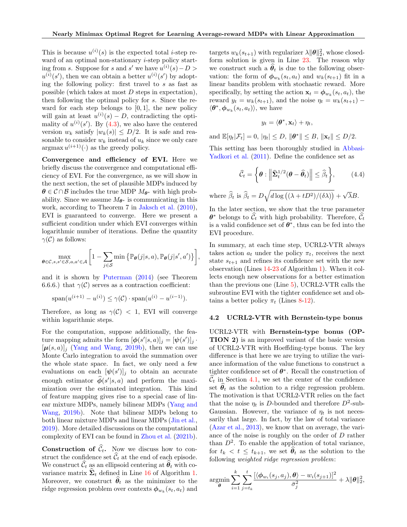This is because  $u^{(i)}(s)$  is the expected total *i*-step reward of an optimal non-stationary *i*-step policy starting from s. Suppose for s and s' we have  $u^{(i)}(s) - D >$  $u^{(i)}(s')$ , then we can obtain a better  $u^{(i)}(s')$  by adopting the following policy: first travel to s as fast as possible (which takes at most D steps in expectation), then following the optimal policy for s. Since the reward for each step belongs to  $[0, 1]$ , the new policy will gain at least  $u^{(i)}(s) - D$ , contradicting the optimality of  $u^{(i)}(s')$ . By [\(4.3\)](#page--1-45), we also have the centered version  $w_k$  satisfy  $|w_k(s)| \leq D/2$ . It is safe and reasonable to consider  $w_k$  instead of  $u_k$  since we only care  $\arg\max u^{(i+1)}(\cdot)$  as the greedy policy.

Convergence and efficiency of EVI. Here we briefly discuss the convergence and computational efficiency of EVI. For the convergence, as we will show in the next section, the set of plausible MDPs induced by  $\theta \in \mathcal{C} \cap \mathcal{B}$  includes the true MDP  $M_{\theta^*}$  with high probability. Since we assume  $M_{\theta^*}$  is communicating in this work, according to Theorem 7 in [Jaksch et al.](#page--1-3) [\(2010\)](#page--1-3), EVI is guaranteed to converge. Here we present a sufficient condition under which EVI converges within logarithmic number of iterations. Define the quantity  $\gamma(\mathcal{C})$  as follows:

$$
\max_{\boldsymbol{\theta}\in\mathcal{C}, s, s'\in\mathcal{S}, a, a'\in\mathcal{A}} \left[1 - \sum_{j\in\mathcal{S}} \min\left\{\mathbb{P}_{\boldsymbol{\theta}}(j|s, a), \mathbb{P}_{\boldsymbol{\theta}}(j|s', a')\right\}\right],
$$

and it is shown by [Puterman](#page--1-33) [\(2014\)](#page--1-33) (see Theorem 6.6.6.) that  $\gamma(\mathcal{C})$  serves as a contraction coefficient:

$$
\text{span}(u^{(i+1)} - u^{(i)}) \le \gamma(\mathcal{C}) \cdot \text{span}(u^{(i)} - u^{(i-1)}).
$$

Therefore, as long as  $\gamma(\mathcal{C}) < 1$ , EVI will converge within logarithmic steps.

For the computation, suppose additionally, the feature mapping admits the form  $[\phi(s'|s, a)]_j = [\psi(s')]_j$ .  $[\mu(s, a)]_j$  [\(Yang and Wang,](#page--1-29) [2019b\)](#page--1-29), then we can use Monte Carlo integration to avoid the summation over the whole state space. In fact, we only need a few evaluations on each  $[\psi(s')]_j$  to obtain an accurate enough estimator  $\widehat{\phi}(s'|s, a)$  and perform the maximization over the estimated integration. This kind of feature mapping gives rise to a special case of linear mixture MDPs, namely bilinear MDPs [\(Yang and](#page--1-29) [Wang,](#page--1-29) [2019b\)](#page--1-29). Note that bilinear MDPs belong to both linear mixture MDPs and linear MDPs [\(Jin et al.,](#page--1-15) [2019\)](#page--1-15). More detailed discussions on the computational complexity of EVI can be found in [Zhou et al.](#page--1-19) [\(2021b\)](#page--1-19).

**Construction of**  $\hat{C}_t$ **.** Now we discuss how to construct the confidence set  $\widehat{\mathcal{C}}_t$  at the end of each episode. We construct  $\widehat{\mathcal{C}}_t$  as an ellipsoid centering at  $\widehat{\boldsymbol{\theta}}_t$  with covariance matrix  $\hat{\Sigma}_t$  defined in Line [16](#page--1-46) of Algorithm [1.](#page--1-35) Moreover, we construct  $\hat{\theta}_t$  as the minimizer to the ridge regression problem over contexts  $\phi_{w_k}(s_t, a_t)$  and

targets  $w_k(s_{t+1})$  with regularizer  $\lambda ||\boldsymbol{\theta}||_2^2$ , whose closedform solution is given in Line [23.](#page--1-47) The reason why we construct such a  $\theta_t$  is due to the following observation: the form of  $\phi_{w_k}(s_t, a_t)$  and  $w_k(s_{t+1})$  fit in a linear bandits problem with stochastic reward. More specifically, by setting the action  $\mathbf{x}_t = \boldsymbol{\phi}_{w_k}(s_t, a_t)$ , the reward  $y_t = w_k(s_{t+1})$ , and the noise  $\eta_t = w_k(s_{t+1})$  –  $\langle \boldsymbol{\theta}^*, \boldsymbol{\phi}_{w_k}(s_t, a_t) \rangle$ , we have

$$
y_t = \langle \boldsymbol{\theta}^*, \mathbf{x}_t \rangle + \eta_t,
$$

and  $\mathbb{E}[\eta_t|\mathcal{F}_t] = 0, |\eta_t| \leq D, ||\boldsymbol{\theta}^*|| \leq B, ||\mathbf{x}_t|| \leq D/2.$ 

This setting has been thoroughly studied in [Abbasi-](#page--1-20)[Yadkori et al.](#page--1-20) [\(2011\)](#page--1-20). Define the confidence set as

$$
\widehat{\mathcal{C}}_t = \left\{ \boldsymbol{\theta} : \left\| \widehat{\boldsymbol{\Sigma}}_t^{1/2} (\boldsymbol{\theta} - \widehat{\boldsymbol{\theta}}_t) \right\| \leq \widehat{\beta}_t \right\},\qquad(4.4)
$$

where  $\widehat{\beta}_t$  is  $\widehat{\beta}_t = D\sqrt{d \log((\lambda + tD^2)/(\delta \lambda))} +$ √  $\lambda B$ .

In the later section, we show that the true parameter  $\boldsymbol{\theta}^*$  belongs to  $\hat{\mathcal{C}}_t$  with high probability. Therefore,  $\hat{\mathcal{C}}_t$ is a valid confidence set of  $\theta^*$ , thus can be fed into the EVI procedure.

In summary, at each time step, UCRL2-VTR always takes action  $a_t$  under the policy  $\pi_t$ , receives the next state  $s_{t+1}$  and refines its confidence set with the new observation (Lines [14-](#page--1-48)[23](#page--1-47) of Algorithm [1\)](#page--1-35). When it collects enough new observations for a better estimation than the previous one (Line [5\)](#page--1-49), UCRL2-VTR calls the subroutine EVI with the tighter confidence set and obtains a better policy  $\pi_t$  (Lines [8-](#page--1-50)[12\)](#page--1-51).

#### 4.2 UCRL2-VTR with Bernstein-type bonus

UCRL2-VTR with Bernstein-type bonus (OP-TION 2) is an improved variant of the basic version of UCRL2-VTR with Hoeffding-type bonus. The key difference is that here we are trying to utilize the variance information of the value functions to construct a tighter confidence set of  $\theta^*$ . Recall the construction of  $\mathcal{C}_t$  in Section [4.1,](#page--1-52) we set the center of the confidence set  $\hat{\theta}_t$  as the solution to a ridge regression problem. The motivation is that UCRL2-VTR relies on the fact that the noise  $\eta_t$  is D-bounded and therefore  $D^2$ -sub-Gaussian. However, the variance of  $\eta_t$  is not necessarily that large. In fact, by the law of total variance [\(Azar et al.,](#page--1-53) [2013\)](#page--1-53), we know that on average, the variance of the noise is roughly on the order of D rather than  $D^2$ . To enable the application of total variance, for  $t_k < t \leq t_{k+1}$ , we set  $\theta_t$  as the solution to the following weighted ridge regression problem:

$$
\underset{\boldsymbol{\theta}}{\operatorname{argmin}} \sum_{i=1}^{k} \sum_{j=t_k}^{t} \frac{[\langle \boldsymbol{\phi}_{w_i}(s_j, a_j), \boldsymbol{\theta} \rangle - w_i(s_{j+1})]^2}{\bar{\sigma}_j^2} + \lambda \|\boldsymbol{\theta}\|_2^2,
$$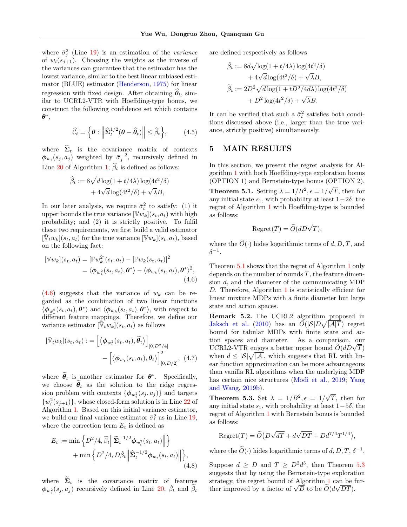where  $\bar{\sigma}_j^2$  (Line [19\)](#page--1-54) is an estimation of the *variance* of  $w_i(s_{i+1})$ . Choosing the weights as the inverse of the variances can guarantee that the estimator has the lowest variance, similar to the best linear unbiased estimator (BLUE) estimator [\(Henderson,](#page--1-55) [1975\)](#page--1-55) for linear regression with fixed design. After obtaining  $\hat{\theta}_t$ , similar to UCRL2-VTR with Hoeffding-type bonus, we construct the following confidence set which contains  $\boldsymbol{\theta}^*,$ 

$$
\widehat{\mathcal{C}}_t = \left\{ \boldsymbol{\theta} : \left\| \widehat{\mathbf{\Sigma}}_t^{1/2} (\boldsymbol{\theta} - \widehat{\boldsymbol{\theta}}_t) \right\| \leq \widehat{\beta}_t \right\},\qquad(4.5)
$$

where  $\hat{\Sigma}_t$  is the covariance matrix of contexts  $\phi_{w_i}(s_j, a_j)$  weighted by  $\bar{\sigma}_j^{-2}$ , recursively defined in Line [20](#page--1-56) of Algorithm [1;](#page--1-35)  $\widehat{\beta}_t$  is defined as follows:

$$
\hat{\beta}_t := 8\sqrt{d\log(1 + t/4\lambda)\log(4t^2/\delta)}
$$

$$
+ 4\sqrt{d}\log(4t^2/\delta) + \sqrt{\lambda}B,
$$

In our later analysis, we require  $\bar{\sigma}_t^2$  to satisfy: (1) it upper bounds the true variance  $[\mathbb{V}w_k](s_t, a_t)$  with high probability; and (2) it is strictly positive. To fulfil these two requirements, we first build a valid estimator  $[\bar{\mathbb{V}}_t w_k](s_t, a_t)$  for the true variance  $[\mathbb{V} w_k](s_t, a_t)$ , based on the following fact:

$$
[\mathbb{V}w_k](s_t, a_t) = [\mathbb{P}w_k^2](s_t, a_t) - [\mathbb{P}w_k(s_t, a_t)]^2
$$
  
=  $\langle \phi_{w_k^2}(s_t, a_t), \theta^* \rangle - \langle \phi_{w_k}(s_t, a_t), \theta^* \rangle^2,$   
(4.6)

 $(4.6)$  suggests that the variance of  $w_k$  can be regarded as the combination of two linear functions  $\langle \phi_{w_k^2}(s_t, a_t), \theta^* \rangle$  and  $\langle \phi_{w_k}(s_t, a_t), \theta^* \rangle$ , with respect to different feature mappings. Therefore, we define our variance estimator  $[\bar{\hat{\mathbb{V}}_t} w_k](s_t, a_t)$  as follows

$$
[\bar{\mathbb{V}}_t w_k](s_t, a_t) := \left[ \langle \boldsymbol{\phi}_{w_t^2}(s_t, a_t), \tilde{\boldsymbol{\theta}}_t \rangle \right]_{[0, D^2/4]} - \left[ \langle \boldsymbol{\phi}_{w_t}(s_t, a_t), \boldsymbol{\theta}_t \rangle \right]_{[0, D/2]}^2, (4.7)
$$

where  $\hat{\theta}_t$  is another estimator for  $\theta^*$ . Specifically, we choose  $\tilde{\theta}_t$  as the solution to the ridge regression problem with contexts  $\{\phi_{w_i^2}(s_j, a_j)\}\$ and targets  $\{w_i^2(s_{j+1})\}\$ , whose closed-form solution is in Line [22](#page--1-58) of Algorithm [1.](#page--1-35) Based on this initial variance estimator, we build our final variance estimator  $\bar{\sigma}_t^2$  as in Line [19,](#page--1-54) where the correction term  $E_t$  is defined as

$$
E_t := \min \left\{ D^2/4, \widetilde{\beta}_t \middle\| \widetilde{\mathbf{\Sigma}}_t^{-1/2} \boldsymbol{\phi}_{w_t^2}(s_t, a_t) \middle\| \right\} + \min \left\{ D^2/4, D \widetilde{\beta}_t \middle\| \widehat{\mathbf{\Sigma}}_t^{-1/2} \boldsymbol{\phi}_{w_t}(s_t, a_t) \middle\| \right\},\tag{4.8}
$$

where  $\Sigma_t$  is the covariance matrix of features  $\phi_{w_i^2}(s_j, a_j)$  recursively defined in Line [20,](#page--1-56)  $\check{\beta}_t$  and  $\widetilde{\beta}_t$ 

are defined respectively as follows

$$
\tilde{\beta}_t := 8d\sqrt{\log(1 + t/4\lambda)\log(4t^2/\delta)}
$$
  
+  $4\sqrt{d}\log(4t^2/\delta) + \sqrt{\lambda}B$ ,  

$$
\tilde{\beta}_t := 2D^2\sqrt{d\log(1 + tD^2/4d\lambda)\log(4t^2/\delta)}
$$
  
+  $D^2\log(4t^2/\delta) + \sqrt{\lambda}B$ .

It can be verified that such a  $\bar{\sigma}_t^2$  satisfies both conditions discussed above (i.e., larger than the true variance, strictly positive) simultaneously.

# 5 MAIN RESULTS

In this section, we present the regret analysis for Algorithm [1](#page--1-35) with both Hoeffding-type exploration bonus (OPTION 1) and Bernstein-type bonus (OPTION 2).

**Theorem 5.1.** Setting  $\lambda = 1/B^2, \epsilon = 1/$ √ T, then for any initial state  $s_1$ , with probability at least  $1-2\delta$ , the regret of Algorithm [1](#page--1-35) with Hoeffding-type is bounded as follows:

$$
Regret(T) = \widetilde{O}(dD\sqrt{T}),
$$

where the  $\widetilde{O}(\cdot)$  hides logarithmic terms of d, D, T, and  $\delta^{-1}.$ 

Theorem [5.1](#page--1-59) shows that the regret of Algorithm [1](#page--1-35) only depends on the number of rounds  $T$ , the feature dimension d, and the diameter of the communicating MDP D. Therefore, Algorithm [1](#page--1-35) is statistically efficient for linear mixture MDPs with a finite diameter but large state and action spaces.

Remark 5.2. The UCRL2 algorithm proposed in [Jaksch et al.](#page--1-3) [\(2010\)](#page--1-3) has an  $\tilde{O}(|\mathcal{S}|D\sqrt{|\mathcal{A}|T})$  regret bound for tabular MDPs with finite state and action spaces and diameter. As a comparison, our tion spaces and diameter. As a comparison, our<br>UCRL2-VTR enjoys a better upper bound  $\widetilde{O}(dD\sqrt{T})$ when  $d \leq |\mathcal{S}|\sqrt{|\mathcal{A}|}$ , which suggests that RL with linear function approximation can be more advantageous than vanilla RL algorithms when the underlying MDP has certain nice structures [\(Modi et al.,](#page--1-30) [2019;](#page--1-30) [Yang](#page--1-29) [and Wang,](#page--1-29) [2019b\)](#page--1-29).

**Theorem 5.3.** Set  $\lambda = 1/B^2, \epsilon = 1/2$ √ T, then for any initial state  $s_1$ , with probability at least  $1-5\delta$ , the regret of Algorithm [1](#page--1-35) with Bernstein bonus is bounded as follows:

$$
Regret(T) = \widetilde{O}(D\sqrt{dT} + d\sqrt{DT} + Dd^{7/4}T^{1/4}),
$$

where the  $\widetilde{O}(\cdot)$  hides logarithmic terms of  $d, D, T, \delta^{-1}$ .

Suppose  $d \ge D$  and  $T \ge D^2 d^3$ , then Theorem [5.3](#page--1-60) suggests that by using the Bernstein-type exploration strategy, the regret bound of Algorithm [1](#page--1-35) can be furstrategy, the regret bound of Algorithm 1 can be if<br>ther improved by a factor of  $\sqrt{D}$  to be  $\widetilde{O}(d\sqrt{DT})$ .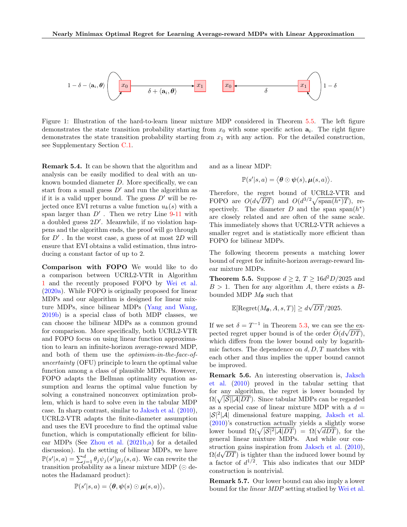

Figure 1: Illustration of the hard-to-learn linear mixture MDP considered in Theorem [5.5.](#page--1-61) The left figure demonstrates the state transition probability starting from  $x_0$  with some specific action  $a_i$ . The right figure demonstrates the state transition probability starting from  $x_1$  with any action. For the detailed construction, see Supplementary Section C.1.

Remark 5.4. It can be shown that the algorithm and analysis can be easily modified to deal with an unknown bounded diameter  $D$ . More specifically, we can start from a small guess  $D'$  and run the algorithm as if it is a valid upper bound. The guess  $D'$  will be rejected once EVI returns a value function  $u_k(s)$  with a span larger than  $D'$ . Then we retry Line  $9-11$  $9-11$  with a doubled guess  $2D'$ . Meanwhile, if no violation happens and the algorithm ends, the proof will go through for  $D'$ . In the worst case, a guess of at most  $2D$  will ensure that EVI obtains a valid estimation, thus introducing a constant factor of up to 2.

Comparison with FOPO We would like to do a comparison between UCRL2-VTR in Algorithm [1](#page--1-35) and the recently proposed FOPO by [Wei et al.](#page--1-13) [\(2020a\)](#page--1-13). While FOPO is originally proposed for linear MDPs and our algorithm is designed for linear mixture MDPs, since bilinear MDPs [\(Yang and Wang,](#page--1-29) [2019b\)](#page--1-29) is a special class of both MDP classes, we can choose the bilinear MDPs as a common ground for comparison. More specifically, both UCRL2-VTR and FOPO focus on using linear function approximation to learn an infinite-horizon average-reward MDP, and both of them use the optimism-in-the-face-ofuncertainty (OFU) principle to learn the optimal value function among a class of plausible MDPs. However, FOPO adapts the Bellman optimality equation assumption and learns the optimal value function by solving a constrained nonconvex optimization problem, which is hard to solve even in the tabular MDP case. In sharp contrast, similar to [Jaksch et al.](#page--1-3) [\(2010\)](#page--1-3), UCRL2-VTR adapts the finite-diameter assumption and uses the EVI procedure to find the optimal value function, which is computationally efficient for bilinear MDPs (See [Zhou et al.](#page--1-19) [\(2021b,](#page--1-19)[a\)](#page--1-22) for a detailed discussion). In the setting of bilinear MDPs, we have  $\mathbb{P}(s'|s,a) = \sum_{j=1}^{d} \theta_j \psi_j(s') \mu_j(s,a)$ . We can rewrite the transition probability as a linear mixture MDP ( $\odot$  denotes the Hadamard product):

$$
\mathbb{P}(s'|s,a) = \langle \boldsymbol{\theta}, \boldsymbol{\psi}(s) \odot \boldsymbol{\mu}(s,a) \rangle,
$$

and as a linear MDP:

$$
\mathbb{P}(s'|s,a) = \langle \boldsymbol{\theta} \odot \boldsymbol{\psi}(s), \boldsymbol{\mu}(s,a) \rangle.
$$

Therefore, the regret bound of UCRL2-VTR and FOPO are  $O(d\sqrt{DT})$  and  $O(d^{3/2}\sqrt{\text{span}(h^*)T})$ , respectively. The diameter  $D$  and the span span $(h^*)$ are closely related and are often of the same scale. This immediately shows that UCRL2-VTR achieves a smaller regret and is statistically more efficient than FOPO for bilinear MDPs.

The following theorem presents a matching lower bound of regret for infinite-horizon average-reward linear mixture MDPs.

**Theorem 5.5.** Suppose  $d \geq 2$ ,  $T \geq 16d^2D/2025$  and  $B > 1$ . Then for any algorithm A, there exists a Bbounded MDP  $M_{\theta}$  such that

$$
\mathbb{E}[\text{Regret}(M_{\theta}, A, s, T)] \ge d\sqrt{DT}/2025.
$$

If we set  $\delta = T^{-1}$  in Theorem [5.3,](#page--1-60) we can see the expected regret upper bound is of the order  $O(d\sqrt{DT})$ , which differs from the lower bound only by logarithmic factors. The dependence on  $d, D, T$  matches with each other and thus implies the upper bound cannot be improved.

Remark 5.6. An interesting observation is, [Jaksch](#page--1-3) [et al.](#page--1-3) [\(2010\)](#page--1-3) proved in the tabular setting that for any algorithm, the regret is lower bounded by  $\Omega(\sqrt{|\mathcal{S}||\mathcal{A}|DT})$ . Since tabular MDPs can be regarded as a special case of linear mixture MDP with a  $d =$  $|S|^2$ |A| dimensional feature mapping, [Jaksch et al.](#page--1-3) [\(2010\)](#page--1-3)'s construction actually yields a slightly worse (2010)'s construction actually yields a slightly worse<br>lower bound  $\Omega(\sqrt{|\mathcal{S}|^2 |\mathcal{A}| D T}) = \Omega(\sqrt{d D T})$ , for the general linear mixture MDPs. And while our con-struction gains inspiration from [Jaksch et al.](#page--1-3)  $(2010)$ ,  $\Omega(d\sqrt{DT})$  is tighter than the induced lower bound by a factor of  $d^{1/2}$ . This also indicates that our MDP construction is nontrivial.

Remark 5.7. Our lower bound can also imply a lower bound for the linear MDP setting studied by [Wei et al.](#page--1-13)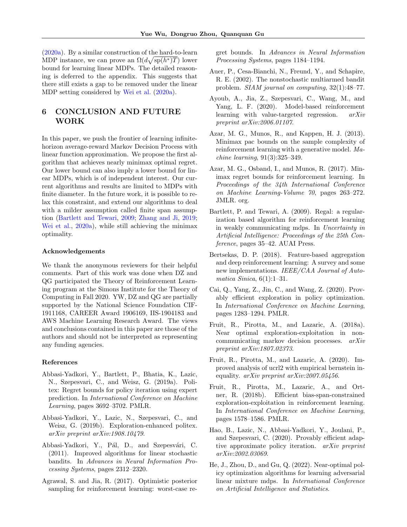[\(2020a\)](#page--1-13). By a similar construction of the hard-to-learn MDP instance, we can prove an  $\Omega(d\sqrt{\text{sp}(h^*)T})$  lower bound for learning linear MDPs. The detailed reasoning is deferred to the appendix. This suggests that there still exists a gap to be removed under the linear MDP setting considered by [Wei et al.](#page--1-13) [\(2020a\)](#page--1-13).

# 6 CONCLUSION AND FUTURE WORK

In this paper, we push the frontier of learning infinitehorizon average-reward Markov Decision Process with linear function approximation. We propose the first algorithm that achieves nearly minimax optimal regret. Our lower bound can also imply a lower bound for linear MDPs, which is of independent interest. Our current algorithms and results are limited to MDPs with finite diameter. In the future work, it is possible to relax this constraint, and extend our algorithms to deal with a milder assumption called finite span assumption [\(Bartlett and Tewari,](#page--1-2) [2009;](#page--1-2) [Zhang and Ji,](#page--1-6) [2019;](#page--1-6) [Wei et al.,](#page--1-13) [2020a\)](#page--1-13), while still achieving the minimax optimality.

### Acknowledgements

We thank the anonymous reviewers for their helpful comments. Part of this work was done when DZ and QG participated the Theory of Reinforcement Learning program at the Simons Institute for the Theory of Computing in Fall 2020. YW, DZ and QG are partially supported by the National Science Foundation CIF-1911168, CAREER Award 1906169, IIS-1904183 and AWS Machine Learning Research Award. The views and conclusions contained in this paper are those of the authors and should not be interpreted as representing any funding agencies.

### References

- Abbasi-Yadkori, Y., Bartlett, P., Bhatia, K., Lazic, N., Szepesvari, C., and Weisz, G. (2019a). Politex: Regret bounds for policy iteration using expert prediction. In International Conference on Machine Learning, pages 3692–3702. PMLR.
- Abbasi-Yadkori, Y., Lazic, N., Szepesvari, C., and Weisz, G. (2019b). Exploration-enhanced politex. arXiv preprint arXiv:1908.10479.
- Abbasi-Yadkori, Y., Pál, D., and Szepesvári, C. (2011). Improved algorithms for linear stochastic bandits. In Advances in Neural Information Processing Systems, pages 2312–2320.
- Agrawal, S. and Jia, R. (2017). Optimistic posterior sampling for reinforcement learning: worst-case re-

gret bounds. In Advances in Neural Information Processing Systems, pages 1184–1194.

- Auer, P., Cesa-Bianchi, N., Freund, Y., and Schapire, R. E. (2002). The nonstochastic multiarmed bandit problem. SIAM journal on computing, 32(1):48–77.
- Ayoub, A., Jia, Z., Szepesvari, C., Wang, M., and Yang, L. F. (2020). Model-based reinforcement learning with value-targeted regression. arXiv preprint arXiv:2006.01107.
- Azar, M. G., Munos, R., and Kappen, H. J. (2013). Minimax pac bounds on the sample complexity of reinforcement learning with a generative model. Machine learning, 91(3):325–349.
- Azar, M. G., Osband, I., and Munos, R. (2017). Minimax regret bounds for reinforcement learning. In Proceedings of the 34th International Conference on Machine Learning-Volume 70, pages 263–272. JMLR. org.
- Bartlett, P. and Tewari, A. (2009). Regal: a regularization based algorithm for reinforcement learning in weakly communicating mdps. In Uncertainty in Artificial Intelligence: Proceedings of the 25th Conference, pages 35–42. AUAI Press.
- Bertsekas, D. P. (2018). Feature-based aggregation and deep reinforcement learning: A survey and some new implementations. IEEE/CAA Journal of Automatica Sinica,  $6(1):1-31$ .
- Cai, Q., Yang, Z., Jin, C., and Wang, Z. (2020). Provably efficient exploration in policy optimization. In International Conference on Machine Learning, pages 1283–1294. PMLR.
- Fruit, R., Pirotta, M., and Lazaric, A. (2018a). Near optimal exploration-exploitation in noncommunicating markov decision processes. arXiv preprint arXiv:1807.02373.
- Fruit, R., Pirotta, M., and Lazaric, A. (2020). Improved analysis of ucrl2 with empirical bernstein inequality. arXiv preprint arXiv:2007.05456.
- Fruit, R., Pirotta, M., Lazaric, A., and Ortner, R. (2018b). Efficient bias-span-constrained exploration-exploitation in reinforcement learning. In International Conference on Machine Learning, pages 1578–1586. PMLR.
- Hao, B., Lazic, N., Abbasi-Yadkori, Y., Joulani, P., and Szepesvari, C. (2020). Provably efficient adaptive approximate policy iteration. arXiv preprint arXiv:2002.03069.
- He, J., Zhou, D., and Gu, Q. (2022). Near-optimal policy optimization algorithms for learning adversarial linear mixture mdps. In International Conference on Artificial Intelligence and Statistics.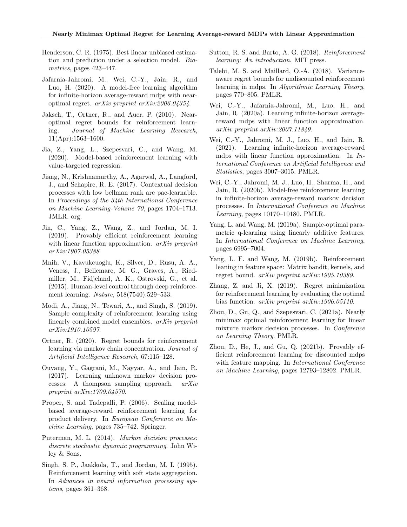- Henderson, C. R. (1975). Best linear unbiased estimation and prediction under a selection model. Biometrics, pages 423–447.
- Jafarnia-Jahromi, M., Wei, C.-Y., Jain, R., and Luo, H. (2020). A model-free learning algorithm for infinite-horizon average-reward mdps with nearoptimal regret. arXiv preprint arXiv:2006.04354.
- Jaksch, T., Ortner, R., and Auer, P. (2010). Nearoptimal regret bounds for reinforcement learning. Journal of Machine Learning Research, 11(Apr):1563–1600.
- Jia, Z., Yang, L., Szepesvari, C., and Wang, M. (2020). Model-based reinforcement learning with value-targeted regression.
- Jiang, N., Krishnamurthy, A., Agarwal, A., Langford, J., and Schapire, R. E. (2017). Contextual decision processes with low bellman rank are pac-learnable. In Proceedings of the 34th International Conference on Machine Learning-Volume 70, pages 1704–1713. JMLR. org.
- Jin, C., Yang, Z., Wang, Z., and Jordan, M. I. (2019). Provably efficient reinforcement learning with linear function approximation. *arXiv preprint* arXiv:1907.05388.
- Mnih, V., Kavukcuoglu, K., Silver, D., Rusu, A. A., Veness, J., Bellemare, M. G., Graves, A., Riedmiller, M., Fidjeland, A. K., Ostrovski, G., et al. (2015). Human-level control through deep reinforcement learning. Nature, 518(7540):529–533.
- Modi, A., Jiang, N., Tewari, A., and Singh, S. (2019). Sample complexity of reinforcement learning using linearly combined model ensembles. arXiv preprint arXiv:1910.10597.
- Ortner, R. (2020). Regret bounds for reinforcement learning via markov chain concentration. Journal of Artificial Intelligence Research, 67:115–128.
- Ouyang, Y., Gagrani, M., Nayyar, A., and Jain, R. (2017). Learning unknown markov decision processes: A thompson sampling approach. arXiv preprint arXiv:1709.04570.
- Proper, S. and Tadepalli, P. (2006). Scaling modelbased average-reward reinforcement learning for product delivery. In European Conference on Machine Learning, pages 735–742. Springer.
- Puterman, M. L. (2014). Markov decision processes: discrete stochastic dynamic programming. John Wiley & Sons.
- Singh, S. P., Jaakkola, T., and Jordan, M. I. (1995). Reinforcement learning with soft state aggregation. In Advances in neural information processing systems, pages 361–368.
- Sutton, R. S. and Barto, A. G. (2018). Reinforcement learning: An introduction. MIT press.
- Talebi, M. S. and Maillard, O.-A. (2018). Varianceaware regret bounds for undiscounted reinforcement learning in mdps. In Algorithmic Learning Theory, pages 770–805. PMLR.
- Wei, C.-Y., Jafarnia-Jahromi, M., Luo, H., and Jain, R. (2020a). Learning infinite-horizon averagereward mdps with linear function approximation. arXiv preprint arXiv:2007.11849.
- Wei, C.-Y., Jahromi, M. J., Luo, H., and Jain, R. (2021). Learning infinite-horizon average-reward mdps with linear function approximation. In International Conference on Artificial Intelligence and Statistics, pages 3007–3015. PMLR.
- Wei, C.-Y., Jahromi, M. J., Luo, H., Sharma, H., and Jain, R. (2020b). Model-free reinforcement learning in infinite-horizon average-reward markov decision processes. In International Conference on Machine Learning, pages 10170–10180. PMLR.
- Yang, L. and Wang, M. (2019a). Sample-optimal parametric q-learning using linearly additive features. In International Conference on Machine Learning, pages 6995–7004.
- Yang, L. F. and Wang, M. (2019b). Reinforcement leaning in feature space: Matrix bandit, kernels, and regret bound. arXiv preprint arXiv:1905.10389.
- Zhang, Z. and Ji, X. (2019). Regret minimization for reinforcement learning by evaluating the optimal bias function. arXiv preprint arXiv:1906.05110.
- Zhou, D., Gu, Q., and Szepesvari, C. (2021a). Nearly minimax optimal reinforcement learning for linear mixture markov decision processes. In Conference on Learning Theory. PMLR.
- Zhou, D., He, J., and Gu, Q. (2021b). Provably efficient reinforcement learning for discounted mdps with feature mapping. In *International Conference* on Machine Learning, pages 12793–12802. PMLR.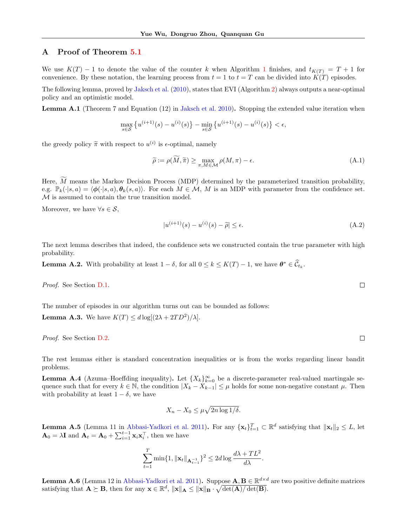# A Proof of Theorem [5.1](#page--1-59)

We use  $K(T) - 1$  $K(T) - 1$  to denote the value of the counter k when Algorithm 1 finishes, and  $t_{K(T)} = T + 1$  for convenience. By these notation, the learning process from  $t = 1$  to  $t = T$  can be divided into  $K(T)$  episodes.

The following lemma, proved by [Jaksch et al.](#page--1-3) [\(2010\)](#page--1-3), states that EVI (Algorithm [2\)](#page--1-36) always outputs a near-optimal policy and an optimistic model.

Lemma A.1 (Theorem 7 and Equation (12) in [Jaksch et al.](#page--1-3) [2010\)](#page--1-3). Stopping the extended value iteration when

$$
\max_{s\in\mathcal{S}}\left\{u^{(i+1)}(s)-u^{(i)}(s)\right\}-\min_{s\in\mathcal{S}}\left\{u^{(i+1)}(s)-u^{(i)}(s)\right\}<\epsilon,
$$

the greedy policy  $\tilde{\pi}$  with respect to  $u^{(i)}$  is  $\epsilon$ -optimal, namely

$$
\widetilde{\rho} := \rho(\widetilde{M}, \widetilde{\pi}) \ge \max_{\pi, M \in \mathcal{M}} \rho(M, \pi) - \epsilon.
$$
\n(A.1)

Here,  $\widetilde{M}$  means the Markov Decision Process (MDP) determined by the parameterized transition probability, e.g.  $\mathbb{P}_k(\cdot|s, a) = \langle \phi(\cdot|s, a), \theta_k(s, a)\rangle$ . For each  $M \in \mathcal{M}$ , M is an MDP with parameter from the confidence set. M is assumed to contain the true transition model.

Moreover, we have  $\forall s \in \mathcal{S}$ ,

$$
|u^{(i+1)}(s) - u^{(i)}(s) - \widetilde{\rho}| \le \epsilon. \tag{A.2}
$$

The next lemma describes that indeed, the confidence sets we constructed contain the true parameter with high probability.

**Lemma A.2.** With probability at least  $1 - \delta$ , for all  $0 \le k \le K(T) - 1$ , we have  $\boldsymbol{\theta}^* \in \widehat{\mathcal{C}}_{t_k}$ .

Proof. See Section D.1.

The number of episodes in our algorithm turns out can be bounded as follows:

**Lemma A.3.** We have  $K(T) \leq d \log[(2\lambda + 2TD^2)/\lambda]$ .

Proof. See Section D.2.

The rest lemmas either is standard concentration inequalities or is from the works regarding linear bandit problems.

**Lemma A.4** (Azuma–Hoeffding inequality). Let  $\{X_k\}_{k=0}^{\infty}$  be a discrete-parameter real-valued martingale sequence such that for every  $k \in \mathbb{N}$ , the condition  $|X_k - X_{k-1}| \leq \mu$  holds for some non-negative constant  $\mu$ . Then with probability at least  $1 - \delta$ , we have

$$
X_n - X_0 \le \mu \sqrt{2n \log 1/\delta}.
$$

**Lemma A.5** (Lemma 11 in [Abbasi-Yadkori et al.](#page--1-20) [2011\)](#page--1-20). For any  $\{\mathbf{x}_t\}_{t=1}^T \subset \mathbb{R}^d$  satisfying that  $\|\mathbf{x}_t\|_2 \leq L$ , let  $\mathbf{A}_0 = \lambda \mathbf{I}$  and  $\mathbf{A}_t = \mathbf{A}_0 + \sum_{i=1}^{t-1} \mathbf{x}_i \mathbf{x}_i^{\top}$ , then we have

$$
\sum_{t=1}^{T} \min\{1, \|\mathbf{x}_t\|_{\mathbf{A}_{t-1}^{-1}}\}^2 \le 2d \log \frac{d\lambda + TL^2}{d\lambda}.
$$

**Lemma A.6** (Lemma 12 in [Abbasi-Yadkori et al.](#page--1-20) [2011\)](#page--1-20). Suppose  $\mathbf{A}, \mathbf{B} \in \mathbb{R}^{d \times d}$  are two positive definite matrices satisfying that  $\mathbf{A} \succeq \mathbf{B}$ , then for any  $\mathbf{x} \in \mathbb{R}^d$ ,  $\|\mathbf{x}\|_{\mathbf{A}} \le \|\mathbf{x}\|_{\mathbf{B}} \cdot \sqrt{\det(\mathbf{A})/\det(\mathbf{B})}$ .

 $\Box$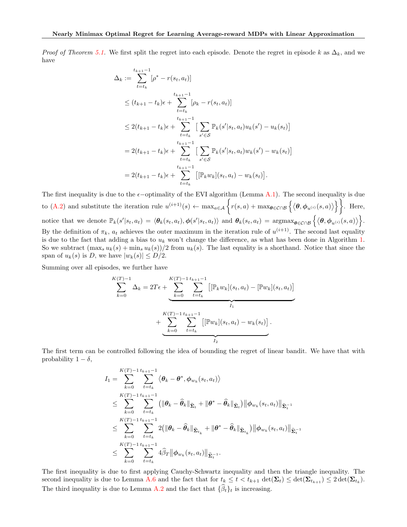*Proof of Theorem [5.1.](#page--1-59)* We first split the regret into each episode. Denote the regret in episode k as  $\Delta_k$ , and we have

$$
\Delta_k := \sum_{t=t_k}^{t_{k+1}-1} [\rho^* - r(s_t, a_t)]
$$
  
\n
$$
\leq (t_{k+1} - t_k)\epsilon + \sum_{t=t_k}^{t_{k+1}-1} [\rho_k - r(s_t, a_t)]
$$
  
\n
$$
\leq 2(t_{k+1} - t_k)\epsilon + \sum_{t=t_k}^{t_{k+1}-1} \left[ \sum_{s' \in S} \mathbb{P}_k(s'|s_t, a_t) u_k(s') - u_k(s_t) \right]
$$
  
\n
$$
= 2(t_{k+1} - t_k)\epsilon + \sum_{t=t_k}^{t_{k+1}-1} \left[ \sum_{s' \in S} \mathbb{P}_k(s'|s_t, a_t) w_k(s') - w_k(s_t) \right]
$$
  
\n
$$
= 2(t_{k+1} - t_k)\epsilon + \sum_{t=t_k}^{t_{k+1}-1} \left[ [\mathbb{P}_k w_k](s_t, a_t) - w_k(s_t) \right].
$$

The first inequality is due to the  $\epsilon$ -optimality of the EVI algorithm (Lemma A.1). The second inequality is due to (A.2) and substitute the iteration rule  $u^{(i+1)}(s) \leftarrow \max_{a \in \mathcal{A}} \left\{ r(s, a) + \max_{\theta \in \mathcal{C} \cap \mathcal{B}} \left\{ \langle \theta, \phi_{u^{(i)}}(s, a) \rangle \right\} \right\}$ . Here, notice that we denote  $\mathbb{P}_k(s'|s_t, a_t) = \langle \theta_k(s_t, a_t), \phi(s'|s_t, a_t) \rangle$  and  $\theta_k(s_t, a_t) = \operatorname{argmax}_{\theta \in \mathcal{C} \cap \mathcal{B}} \left\{ \langle \theta, \phi_{u^{(i)}}(s, a) \rangle \right\}$ . By the definition of  $\pi_k$ ,  $a_t$  achieves the outer maximum in the iteration rule of  $u^{(i+1)}$ . The second last equality is due to the fact that adding a bias to  $u_k$  won't change the difference, as what has been done in Algorithm [1.](#page--1-35) So we subtract  $(\max_s u_k(s) + \min_s u_k(s))/2$  from  $u_k(s)$ . The last equality is a shorthand. Notice that since the span of  $u_k(s)$  is D, we have  $|w_k(s)| \leq D/2$ .

Summing over all episodes, we further have

$$
\sum_{k=0}^{K(T)-1} \Delta_k = 2T\epsilon + \underbrace{\sum_{k=0}^{K(T)-1} \sum_{t=t_k}^{t_{k+1}-1} \left[ [\mathbb{P}_k w_k](s_t, a_t) - [\mathbb{P}w_k](s_t, a_t) \right]}_{I_1} + \underbrace{\sum_{k=0}^{K(T)-1} \sum_{t=t_k}^{t_{k+1}-1} \left[ [\mathbb{P}w_k](s_t, a_t) - w_k(s_t) \right]}_{I_2}.
$$

The first term can be controlled following the idea of bounding the regret of linear bandit. We have that with probability  $1 - \delta$ ,

$$
I_{1} = \sum_{k=0}^{K(T)-1} \sum_{t=t_{k}}^{t_{k+1}-1} \langle \theta_{k} - \theta^{*}, \phi_{w_{k}}(s_{t}, a_{t}) \rangle
$$
  
\n
$$
\leq \sum_{k=0}^{K(T)-1} \sum_{t=t_{k}}^{t_{k+1}-1} (\|\theta_{k} - \hat{\theta}_{k}\|_{\widehat{\Sigma}_{t}} + \|\theta^{*} - \hat{\theta}_{k}\|_{\widehat{\Sigma}_{t}}) \|\phi_{w_{k}}(s_{t}, a_{t})\|_{\widehat{\Sigma}_{t}^{-1}}
$$
  
\n
$$
\leq \sum_{k=0}^{K(T)-1} \sum_{t=t_{k}}^{t_{k+1}-1} 2(\|\theta_{k} - \hat{\theta}_{k}\|_{\widehat{\Sigma}_{t_{k}}} + \|\theta^{*} - \hat{\theta}_{k}\|_{\widehat{\Sigma}_{t_{k}}}) \|\phi_{w_{k}}(s_{t}, a_{t})\|_{\widehat{\Sigma}_{t}^{-1}}
$$
  
\n
$$
\leq \sum_{k=0}^{K(T)-1} \sum_{t=t_{k}}^{t_{k+1}-1} 4 \widehat{\beta}_{T} \|\phi_{w_{k}}(s_{t}, a_{t})\|_{\widehat{\Sigma}_{t}^{-1}}.
$$

The first inequality is due to first applying Cauchy-Schwartz inequality and then the triangle inequality. The second inequality is due to Lemma A.6 and the fact that for  $t_k \leq t < t_{k+1}$   $\det(\mathbf{\Sigma}_t) \leq \det(\mathbf{\Sigma}_{t_{k+1}}) \leq 2 \det(\mathbf{\Sigma}_{t_k})$ . The third inequality is due to Lemma A.2 and the fact that  $\{\widehat{\beta}_t\}_t$  is increasing.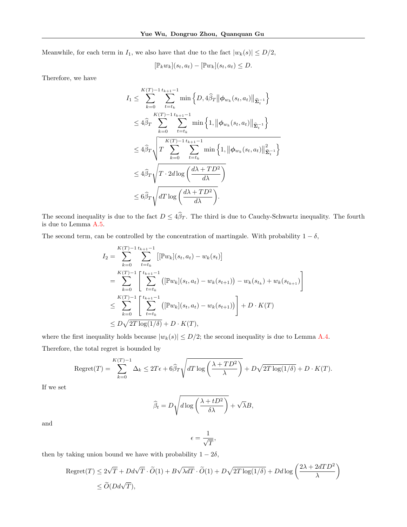Meanwhile, for each term in  $I_1$ , we also have that due to the fact  $|w_k(s)| \le D/2$ ,

$$
[\mathbb{P}_k w_k](s_t, a_t) - [\mathbb{P} w_k](s_t, a_t) \le D.
$$

Therefore, we have

$$
I_{1} \leq \sum_{k=0}^{K(T)-1} \sum_{t=t_{k}}^{t_{k+1}-1} \min\left\{D, 4\hat{\beta}_{T} \|\phi_{w_{k}}(s_{t}, a_{t})\|_{\widehat{\Sigma}_{t}^{-1}}\right\}
$$
  

$$
\leq 4\hat{\beta}_{T} \sum_{k=0}^{K(T)-1} \sum_{t=t_{k}}^{t_{k+1}-1} \min\left\{1, \|\phi_{w_{k}}(s_{t}, a_{t})\|_{\widehat{\Sigma}_{t}^{-1}}\right\}
$$
  

$$
\leq 4\hat{\beta}_{T} \sqrt{T} \sum_{k=0}^{K(T)-1} \sum_{t=t_{k}}^{t_{k+1}-1} \min\left\{1, \|\phi_{w_{k}}(s_{t}, a_{t})\|_{\widehat{\Sigma}_{t}^{-1}}^{2}\right\}
$$
  

$$
\leq 4\hat{\beta}_{T} \sqrt{T \cdot 2d \log\left(\frac{d\lambda + TD^{2}}{d\lambda}\right)}
$$
  

$$
\leq 6\hat{\beta}_{T} \sqrt{dT \log\left(\frac{d\lambda + TD^{2}}{d\lambda}\right)}.
$$

The second inequality is due to the fact  $D \leq 4\hat{\beta}_T$ . The third is due to Cauchy-Schwartz inequality. The fourth is due to Lemma A.5.

The second term, can be controlled by the concentration of martingale. With probability  $1 - \delta$ ,

$$
I_2 = \sum_{k=0}^{K(T)-1} \sum_{t=t_k}^{t_{k+1}-1} \left[ [\mathbb{P}w_k](s_t, a_t) - w_k(s_t) \right]
$$
  
\n
$$
= \sum_{k=0}^{K(T)-1} \left[ \sum_{t=t_k}^{t_{k+1}-1} \left( [\mathbb{P}w_k](s_t, a_t) - w_k(s_{t+1}) \right) - w_k(s_{t_k}) + w_k(s_{t_{k+1}}) \right]
$$
  
\n
$$
\leq \sum_{k=0}^{K(T)-1} \left[ \sum_{t=t_k}^{t_{k+1}-1} \left( [\mathbb{P}w_k](s_t, a_t) - w_k(s_{t+1}) \right) \right] + D \cdot K(T)
$$
  
\n
$$
\leq D\sqrt{2T \log(1/\delta)} + D \cdot K(T),
$$

where the first inequality holds because  $|w_k(s)| \le D/2$ ; the second inequality is due to Lemma A.4. Therefore, the total regret is bounded by

$$
\text{Regret}(T) = \sum_{k=0}^{K(T)-1} \Delta_k \le 2T\epsilon + 6\widehat{\beta}_T \sqrt{dT \log\left(\frac{\lambda + TD^2}{\lambda}\right)} + D\sqrt{2T \log(1/\delta)} + D \cdot K(T).
$$

If we set

$$
\widehat{\beta}_t = D \sqrt{d \log \left( \frac{\lambda + tD^2}{\delta \lambda} \right)} + \sqrt{\lambda} B,
$$

and

$$
\epsilon = \frac{1}{\sqrt{T}},
$$

then by taking union bound we have with probability  $1 - 2\delta$ ,

$$
\begin{aligned} \text{Regret}(T) &\leq 2\sqrt{T} + D d \sqrt{T}\cdot \widetilde{O}(1) + B \sqrt{\lambda d T}\cdot \widetilde{O}(1) + D \sqrt{2T \log(1/\delta)} + D d \log\left(\frac{2\lambda + 2dT D^2}{\lambda}\right) \\ &\leq \widetilde{O}(D d \sqrt{T}), \end{aligned}
$$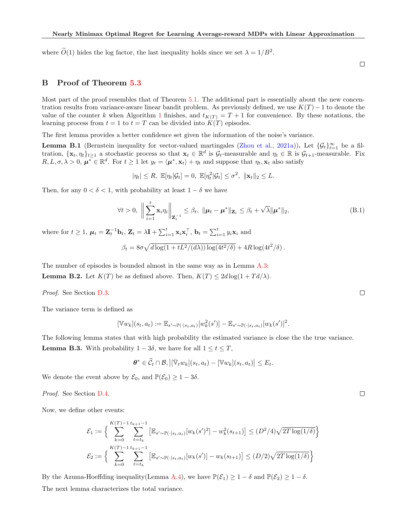where  $\tilde{O}(1)$  hides the log factor, the last inequality holds since we set  $\lambda = 1/B^2$ .

# B Proof of Theorem [5.3](#page--1-60)

Most part of the proof resembles that of Theorem [5.1.](#page--1-59) The additional part is essentially about the new concentration results from variance-aware linear bandit problem. As previously defined, we use  $K(T) - 1$  to denote the value of the counter k when Algorithm [1](#page--1-35) finishes, and  $t_{K(T)} = T + 1$  for convenience. By these notations, the learning process from  $t = 1$  to  $t = T$  can be divided into  $K(T)$  episodes.

The first lemma provides a better confidence set given the information of the noise's variance.

**Lemma B.1** (Bernstein inequality for vector-valued martingales [\(Zhou et al.,](#page--1-22) [2021a\)](#page--1-22)). Let  $\{\mathcal{G}_t\}_{t=1}^{\infty}$  be a filtration,  $\{\mathbf x_t, \eta_t\}_{t\geq 1}$  a stochastic process so that  $\mathbf x_t \in \mathbb{R}^d$  is  $\mathcal{G}_t$ -measurable and  $\eta_t \in \mathbb{R}$  is  $\mathcal{G}_{t+1}$ -measurable. Fix  $R, L, \sigma, \lambda > 0$ ,  $\mu^* \in \mathbb{R}^d$ . For  $t \geq 1$  let  $y_t = \langle \mu^*, \mathbf{x}_t \rangle + \eta_t$  and suppose that  $\eta_t, \mathbf{x}_t$  also satisfy

$$
|\eta_t| \le R, \mathbb{E}[\eta_t|\mathcal{G}_t] = 0, \mathbb{E}[\eta_t^2|\mathcal{G}_t] \le \sigma^2, \ \|\mathbf{x}_t\|_2 \le L.
$$

Then, for any  $0 < \delta < 1$ , with probability at least  $1 - \delta$  we have

$$
\forall t > 0, \left\| \sum_{i=1}^{t} \mathbf{x}_{i} \eta_{i} \right\|_{\mathbf{Z}_{t}^{-1}} \leq \beta_{t}, \ \|\boldsymbol{\mu}_{t} - \boldsymbol{\mu}^{*}\|_{\mathbf{Z}_{t}} \leq \beta_{t} + \sqrt{\lambda} \|\boldsymbol{\mu}^{*}\|_{2}, \tag{B.1}
$$

where for  $t \geq 1$ ,  $\boldsymbol{\mu}_t = \mathbf{Z}_t^{-1} \mathbf{b}_t$ ,  $\mathbf{Z}_t = \lambda \mathbf{I} + \sum_{i=1}^t \mathbf{x}_i \mathbf{x}_i^{\top}$ ,  $\mathbf{b}_t = \sum_{i=1}^t y_i \mathbf{x}_i$  and

$$
\beta_t = 8\sigma \sqrt{d \log(1 + tL^2/(d\lambda)) \log(4t^2/\delta)} + 4R \log(4t^2/\delta).
$$

The number of episodes is bounded almost in the same way as in Lemma A.3: **Lemma B.2.** Let  $K(T)$  be as defined above. Then,  $K(T) \leq 2d \log(1 + T d/\lambda)$ .

Proof. See Section D.3.

The variance term is defined as

$$
[\mathbb{V}w_k](s_t, a_t) := \mathbb{E}_{s' \sim \mathbb{P}(\cdot | s_t, a_t)}[w_k^2(s')] - \mathbb{E}_{s' \sim \mathbb{P}(\cdot | s_t, a_t)}[w_k(s')]^2.
$$

The following lemma states that with high probability the estimated variance is close the the true variance. **Lemma B.3.** With probability  $1 - 3\delta$ , we have for all  $1 \le t \le T$ ,

$$
\boldsymbol{\theta}^* \in \widehat{\mathcal{C}}_t \cap \mathcal{B}, \left| [\bar{\mathbb{V}}_t w_k](s_t, a_t) - [\mathbb{V} w_k](s_t, a_t) \right| \leq E_t.
$$

We denote the event above by  $\mathcal{E}_0$ , and  $\mathbb{P}(\mathcal{E}_0) \geq 1 - 3\delta$ .

Proof. See Section D.4.

Now, we define other events:

$$
\mathcal{E}_1 := \Big\{ \sum_{k=0}^{K(T)-1} \sum_{t=t_k}^{t_{k+1}-1} \left[ \mathbb{E}_{s' \sim \mathbb{P}(\cdot | s_t, a_t)} [w_k(s')^2] - w_k^2(s_{t+1}) \right] \le (D^2/4) \sqrt{2T \log(1/\delta)} \Big\}
$$
  

$$
\mathcal{E}_2 := \Big\{ \sum_{k=0}^{K(T)-1} \sum_{t=t_k}^{t_{k+1}-1} \left[ \mathbb{E}_{s' \sim \mathbb{P}(\cdot | s_t, a_t)} [w_k(s')] - w_k(s_{t+1}) \right] \le (D/2) \sqrt{2T \log(1/\delta)} \Big\}
$$

By the Azuma-Hoeffding inequality(Lemma A.4), we have  $\mathbb{P}(\mathcal{E}_1) \geq 1 - \delta$  and  $\mathbb{P}(\mathcal{E}_2) \geq 1 - \delta$ . The next lemma characterizes the total variance.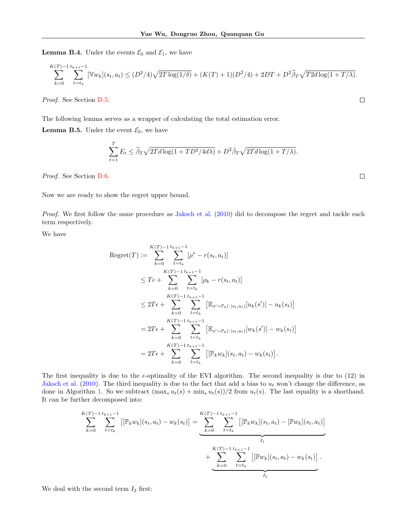**Lemma B.4.** Under the events  $\mathcal{E}_0$  and  $\mathcal{E}_1$ , we have

$$
\sum_{k=0}^{K(T)-1} \sum_{t=t_k}^{t_{k+1}-1} [\mathbb{V}w_k](s_t, a_t) \le (D^2/4)\sqrt{2T \log(1/\delta)} + (K(T)+1)(D^2/4) + 2DT + D^2 \widehat{\beta}_T \sqrt{T2d \log(1+T/\lambda)}.
$$

Proof. See Section D.5.

The following lemma serves as a wrapper of calculating the total estimation error.

**Lemma B.5.** Under the event  $\mathcal{E}_0$ , we have

$$
\sum_{t=1}^{T} E_t \le \tilde{\beta}_T \sqrt{2Td \log(1 + TD^2/4d\lambda)} + D^2 \tilde{\beta}_T \sqrt{2Td \log(1 + T/\lambda)}.
$$

 $\Box$ 

 $\Box$ 

Proof. See Section D.6.

Now we are ready to show the regret upper bound.

Proof. We first follow the same procedure as [Jaksch et al.](#page--1-3) [\(2010\)](#page--1-3) did to decompose the regret and tackle each term respectively.

We have

$$
\begin{split} \text{Regret}(T) &:= \sum_{k=0}^{K(T)-1} \sum_{t=t_k}^{t_{k+1}-1} [\rho^* - r(s_t, a_t)] \\ &\le T\epsilon + \sum_{k=0}^{K(T)-1} \sum_{t=t_k}^{t_{k+1}-1} [\rho_k - r(s_t, a_t)] \\ &\le 2T\epsilon + \sum_{k=0}^{K(T)-1} \sum_{t=t_k}^{t_{k+1}-1} \left[ \mathbb{E}_{s' \sim \mathbb{P}_k(\cdot | s_t, a_t)}[u_k(s')] - u_k(s_t) \right] \\ &= 2T\epsilon + \sum_{k=0}^{K(T)-1} \sum_{t=t_k}^{t_{k+1}-1} \left[ \mathbb{E}_{s' \sim \mathbb{P}_k(\cdot | s_t, a_t)}[w_k(s')] - w_k(s_t) \right] \\ &= 2T\epsilon + \sum_{k=0}^{K(T)-1} \sum_{t=t_k}^{t_{k+1}-1} \left[ [\mathbb{P}_k w_k](s_t, a_t) - w_k(s_t) \right]. \end{split}
$$

The first inequality is due to the  $\epsilon$ -optimality of the EVI algorithm. The second inequality is due to (12) in [Jaksch et al.](#page--1-3) [\(2010\)](#page--1-3). The third inequality is due to the fact that add a bias to  $u_t$  won't change the difference, as done in Algorithm [1.](#page--1-35) So we subtract  $(\max_s u_t(s) + \min_s u_t(s))/2$  from  $u_t(s)$ . The last equality is a shorthand. It can be further decomposed into:

$$
\sum_{k=0}^{K(T)-1} \sum_{t=t_k}^{t_{k+1}-1} \left[ [\mathbb{P}_k w_k](s_t, a_t) - w_k(s_t) \right] = \underbrace{\sum_{k=0}^{K(T)-1} \sum_{t=t_k}^{t_{k+1}-1} \left[ [\mathbb{P}_k w_k](s_t, a_t) - [\mathbb{P}w_k](s_t, a_t) \right]}_{I_1} + \underbrace{\sum_{k=0}^{K(T)-1} \sum_{t=t_k}^{t_{k+1}-1} \left[ [\mathbb{P}w_k](s_t, a_t) - w_k(s_t) \right]}_{I_2}.
$$

We deal with the second term  $I_2$  first: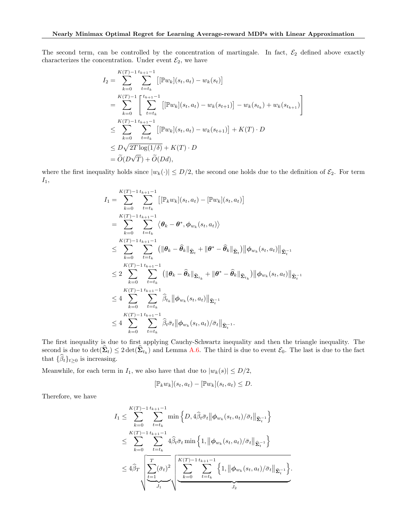The second term, can be controlled by the concentration of martingale. In fact,  $\mathcal{E}_2$  defined above exactly characterizes the concentration. Under event  $\mathcal{E}_2$ , we have

$$
I_2 = \sum_{k=0}^{K(T)-1} \sum_{t=t_k}^{t_{k+1}-1} \left[ [\mathbb{P}w_k](s_t, a_t) - w_k(s_t) \right]
$$
  
\n
$$
= \sum_{k=0}^{K(T)-1} \left[ \sum_{t=t_k}^{t_{k+1}-1} \left[ [\mathbb{P}w_k](s_t, a_t) - w_k(s_{t+1}) \right] - w_k(s_{t_k}) + w_k(s_{t_{k+1}}) \right]
$$
  
\n
$$
\leq \sum_{k=0}^{K(T)-1} \sum_{t=t_k}^{t_{k+1}-1} \left[ [\mathbb{P}w_k](s_t, a_t) - w_k(s_{t+1}) \right] + K(T) \cdot D
$$
  
\n
$$
\leq D\sqrt{2T \log(1/\delta)} + K(T) \cdot D
$$
  
\n
$$
= \widetilde{O}(D\sqrt{T}) + \widetilde{O}(Dd),
$$

where the first inequality holds since  $|w_k(\cdot)| \le D/2$ , the second one holds due to the definition of  $\mathcal{E}_2$ . For term  $I_1$ ,

$$
I_{1} = \sum_{k=0}^{K(T)-1} \sum_{t=t_{k}}^{t_{k+1}-1} \left[ \left[ \mathbb{P}_{k} w_{k} \right] (s_{t}, a_{t}) - \left[ \mathbb{P} w_{k} \right] (s_{t}, a_{t}) \right]
$$
  
\n
$$
= \sum_{k=0}^{K(T)-1} \sum_{t=t_{k}}^{t_{k+1}-1} \left\langle \theta_{k} - \theta^{*}, \phi_{w_{k}} (s_{t}, a_{t}) \right\rangle
$$
  
\n
$$
\leq \sum_{k=0}^{K(T)-1} \sum_{t=t_{k}}^{t_{k+1}-1} \left( \| \theta_{k} - \hat{\theta}_{k} \|_{\hat{\Sigma}_{t}} + \| \theta^{*} - \hat{\theta}_{k} \|_{\hat{\Sigma}_{t}} \right) \| \phi_{w_{k}} (s_{t}, a_{t}) \|_{\hat{\Sigma}_{t}^{-1}} \right.
$$
  
\n
$$
\leq 2 \sum_{k=0}^{K(T)-1} \sum_{t=t_{k}}^{t_{k+1}-1} \left( \| \theta_{k} - \hat{\theta}_{k} \|_{\hat{\Sigma}_{t_{k}}} + \| \theta^{*} - \hat{\theta}_{k} \|_{\hat{\Sigma}_{t_{k}}} \right) \| \phi_{w_{k}} (s_{t}, a_{t}) \|_{\hat{\Sigma}_{t}^{-1}} \right.
$$
  
\n
$$
\leq 4 \sum_{k=0}^{K(T)-1} \sum_{t=t_{k}}^{t_{k+1}-1} \hat{\beta}_{t_{k}} \| \phi_{w_{k}} (s_{t}, a_{t}) \|_{\hat{\Sigma}_{t}^{-1}} \leq 4 \sum_{k=0}^{K(T)-1} \sum_{t=t_{k}}^{t_{k+1}-1} \hat{\beta}_{t} \bar{\sigma}_{t} \| \phi_{w_{k}} (s_{t}, a_{t}) / \bar{\sigma}_{t} \|_{\hat{\Sigma}_{t}^{-1}}.
$$

The first inequality is due to first applying Cauchy-Schwartz inequality and then the triangle inequality. The second is due to  $\det(\Sigma_t) \leq 2 \det(\Sigma_{t_k})$  and Lemma A.6. The third is due to event  $\mathcal{E}_0$ . The last is due to the fact that  $\{\widehat{\beta}_t\}_{t\geq 0}$  is increasing.

Meanwhile, for each term in  $I_1$ , we also have that due to  $|w_k(s)| \le D/2$ ,

$$
[\mathbb{P}_k w_k](s_t, a_t) - [\mathbb{P} w_k](s_t, a_t) \leq D.
$$

Therefore, we have

$$
I_{1} \leq \sum_{k=0}^{K(T)-1} \sum_{t=t_{k}}^{t_{k+1}-1} \min\left\{D, 4\hat{\beta}_{t}\bar{\sigma}_{t} \|\phi_{w_{k}}(s_{t}, a_{t})/\bar{\sigma}_{t}\|_{\widehat{\Sigma}_{t}^{-1}}\right\}
$$
  

$$
\leq \sum_{k=0}^{K(T)-1} \sum_{t=t_{k}}^{t_{k+1}-1} 4\hat{\beta}_{t}\bar{\sigma}_{t} \min\left\{1, \|\phi_{w_{k}}(s_{t}, a_{t})/\bar{\sigma}_{t}\|_{\widehat{\Sigma}_{t}^{-1}}\right\}
$$
  

$$
\leq 4\hat{\beta}_{T} \sqrt{\sum_{t=1}^{T} (\bar{\sigma}_{t})^{2}} \sqrt{\sum_{k=0}^{K(T)-1} \sum_{t=t_{k}}^{t_{k+1}-1} \left\{1, \|\phi_{w_{k}}(s_{t}, a_{t})/\bar{\sigma}_{t}\|_{\widehat{\Sigma}_{t}^{-1}}\right\}}.
$$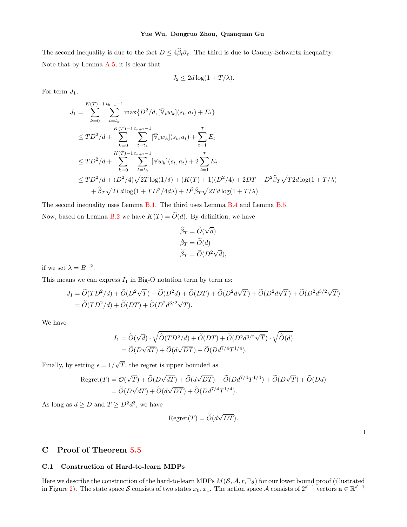The second inequality is due to the fact  $D \leq 4\hat{\beta}_t\bar{\sigma}_t$ . The third is due to Cauchy-Schwartz inequality. Note that by Lemma A.5, it is clear that

$$
J_2 \le 2d \log(1 + T/\lambda).
$$

For term  $J_1$ ,

$$
J_{1} = \sum_{k=0}^{K(T)-1} \sum_{t=t_{k}}^{t_{k+1}-1} \max\{D^{2}/d, [\bar{\mathbb{V}}_{t}w_{k}](s_{t}, a_{t}) + E_{t}\}
$$
  
\n
$$
\leq TD^{2}/d + \sum_{k=0}^{K(T)-1} \sum_{t=t_{k}}^{t_{k+1}-1} [\bar{\mathbb{V}}_{t}w_{k}](s_{t}, a_{t}) + \sum_{t=1}^{T} E_{t}
$$
  
\n
$$
\leq TD^{2}/d + \sum_{k=0}^{K(T)-1} \sum_{t=t_{k}}^{t_{k+1}-1} [\mathbb{V}w_{k}](s_{t}, a_{t}) + 2 \sum_{t=1}^{T} E_{t}
$$
  
\n
$$
\leq TD^{2}/d + (D^{2}/4)\sqrt{2T \log(1/\delta)} + (K(T) + 1)(D^{2}/4) + 2DT + D^{2}\widehat{\beta}_{T}\sqrt{T2d \log(1+T/\lambda)}
$$
  
\n
$$
+ \widetilde{\beta}_{T}\sqrt{2Td \log(1+TD^{2}/4d\lambda)} + D^{2}\widetilde{\beta}_{T}\sqrt{2Td \log(1+T/\lambda)}.
$$

The second inequality uses Lemma B.1. The third uses Lemma B.4 and Lemma B.5.

Now, based on Lemma B.2 we have  $K(T) = \widetilde{O}(d)$ . By definition, we have

$$
\widehat{\beta}_T = \widetilde{O}(\sqrt{d}) \n\widetilde{\beta}_T = \widetilde{O}(d) \n\widetilde{\beta}_T = \widetilde{O}(D^2\sqrt{d}),
$$

if we set  $\lambda = B^{-2}$ .

This means we can express  $I_1$  in Big-O notation term by term as:

$$
J_1 = \tilde{O}(TD^2/d) + \tilde{O}(D^2\sqrt{T}) + \tilde{O}(D^2d) + \tilde{O}(DT) + \tilde{O}(D^2d\sqrt{T}) + \tilde{O}(D^2d\sqrt{T}) + \tilde{O}(D^2d^{3/2}\sqrt{T})
$$
  
=  $\tilde{O}(TD^2/d) + \tilde{O}(DT) + \tilde{O}(D^2d^{3/2}\sqrt{T}).$ 

We have

$$
I_1 = \widetilde{O}(\sqrt{d}) \cdot \sqrt{\widetilde{O}(TD^2/d) + \widetilde{O}(DT) + \widetilde{O}(D^2 d^{3/2} \sqrt{T})} \cdot \sqrt{\widetilde{O}(d)}
$$
  
=  $\widetilde{O}(D\sqrt{dT}) + \widetilde{O}(d\sqrt{DT}) + \widetilde{O}(D d^{7/4} T^{1/4}).$ 

Finally, by setting  $\epsilon = 1/$ √ T, the regret is upper bounded as

$$
Regret(T) = \mathcal{O}(\sqrt{T}) + \widetilde{O}(D\sqrt{dT}) + \widetilde{O}(d\sqrt{DT}) + \widetilde{O}(Dd^{7/4}T^{1/4}) + \widetilde{O}(D\sqrt{T}) + \widetilde{O}(Dd)
$$
  
=  $\widetilde{O}(D\sqrt{dT}) + \widetilde{O}(d\sqrt{DT}) + \widetilde{O}(Dd^{7/4}T^{1/4}).$ 

As long as  $d \ge D$  and  $T \ge D^2 d^3$ , we have

$$
Regret(T) = \widetilde{O}(d\sqrt{DT}).
$$

 $\Box$ 

# C Proof of Theorem [5.5](#page--1-61)

### C.1 Construction of Hard-to-learn MDPs

Here we describe the construction of the hard-to-learn MDPs  $M(S, \mathcal{A}, r, \mathbb{P}_{\theta})$  for our lower bound proof (illustrated in Figure 2). The state space S consists of two states  $x_0, x_1$ . The action space A consists of  $2^{d-1}$  vectors  $\mathbf{a} \in \mathbb{R}^{d-1}$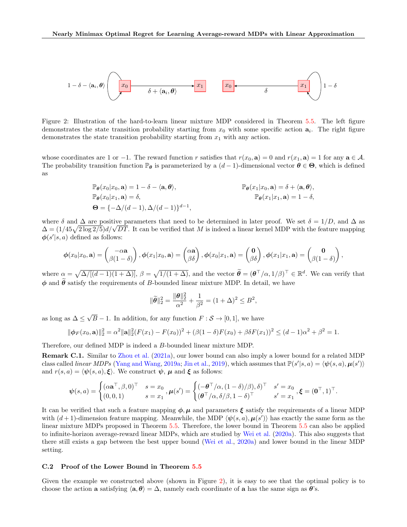

Figure 2: Illustration of the hard-to-learn linear mixture MDP considered in Theorem [5.5.](#page--1-61) The left figure demonstrates the state transition probability starting from  $x_0$  with some specific action  $a_i$ . The right figure demonstrates the state transition probability starting from  $x_1$  with any action.

whose coordinates are 1 or −1. The reward function r satisfies that  $r(x_0, \mathbf{a}) = 0$  and  $r(x_1, \mathbf{a}) = 1$  for any  $\mathbf{a} \in \mathcal{A}$ . The probability transition function  $\mathbb{P}_{\theta}$  is parameterized by a  $(d-1)$ -dimensional vector  $\theta \in \Theta$ , which is defined as

$$
\mathbb{P}_{\theta}(x_0|x_0, \mathbf{a}) = 1 - \delta - \langle \mathbf{a}, \theta \rangle, \n\mathbb{P}_{\theta}(x_0|x_1, \mathbf{a}) = \delta, \n\Theta = \{-\Delta/(d-1), \Delta/(d-1)\}^{d-1}, \n\Theta = \{-\Delta/(d-1), \Delta/(d-1)\}^{d-1},
$$

where  $\delta$  and  $\Delta$  are positive parameters that need to be determined in later proof. We set  $\delta = 1/D$ , and  $\Delta$  as where *o* and  $\Delta$  are positive parameters that need to be determined in later proof. We set  $o = 1/D$ , and  $\Delta$  as  $\Delta = (1/45\sqrt{2 \log 2/5})d/\sqrt{DT}$ . It can be verified that *M* is indeed a linear kernel MDP with the feature map  $\phi(s'|s, a)$  defined as follows:

$$
\boldsymbol{\phi}(x_0|x_0,\mathbf{a}) = \begin{pmatrix} -\alpha \mathbf{a} \\ \beta(1-\delta) \end{pmatrix}, \boldsymbol{\phi}(x_1|x_0,\mathbf{a}) = \begin{pmatrix} \alpha \mathbf{a} \\ \beta \delta \end{pmatrix}, \boldsymbol{\phi}(x_0|x_1,\mathbf{a}) = \begin{pmatrix} \mathbf{0} \\ \beta \delta \end{pmatrix}, \boldsymbol{\phi}(x_1|x_1,\mathbf{a}) = \begin{pmatrix} \mathbf{0} \\ \beta(1-\delta) \end{pmatrix},
$$

where  $\alpha = \sqrt{\Delta/[(d-1)(1+\Delta)]}$ ,  $\beta = \sqrt{1/(1+\Delta)}$ , and the vector  $\widetilde{\theta} = (\theta^{\top}/\alpha, 1/\beta)^{\top} \in \mathbb{R}^d$ . We can verify that  $\phi$  and  $\widetilde{\theta}$  satisfy the requirements of B-bounded linear mixture MDP. In detail, we have

$$
\|\widetilde{\theta}\|_2^2 = \frac{\|\theta\|_2^2}{\alpha^2} + \frac{1}{\beta^2} = (1 + \Delta)^2 \le B^2,
$$

as long as  $\Delta \leq$ √  $B-1$ . In addition, for any function  $F: \mathcal{S} \to [0,1]$ , we have

$$
\|\phi_F(x_0, \mathbf{a})\|_2^2 = \alpha^2 \|\mathbf{a}\|_2^2 (F(x_1) - F(x_0))^2 + (\beta(1-\delta)F(x_0) + \beta\delta F(x_1))^2 \le (d-1)\alpha^2 + \beta^2 = 1.
$$

Therefore, our defined MDP is indeed a B-bounded linear mixture MDP.

Remark C.1. Similar to [Zhou et al.](#page--1-22) [\(2021a\)](#page--1-22), our lower bound can also imply a lower bound for a related MDP class called *linear MDPs* [\(Yang and Wang,](#page--1-14) [2019a;](#page--1-14) [Jin et al.,](#page--1-15) [2019\)](#page--1-15), which assumes that  $\mathbb{P}(s'|s, a) = \langle \psi(s, a), \mu(s') \rangle$ and  $r(s, a) = \langle \psi(s, a), \xi \rangle$ . We construct  $\psi$ ,  $\mu$  and  $\xi$  as follows:

$$
\psi(s,a) = \begin{cases}\n(\alpha \mathbf{a}^\top, \beta, 0)^\top & s = x_0 \\
(0,0,1) & s = x_1\n\end{cases}, \mu(s') = \begin{cases}\n(-\theta^\top/\alpha, (1-\delta)/\beta), \delta)^\top & s' = x_0 \\
(\theta^\top/\alpha, \delta/\beta, 1-\delta)^\top & s' = x_1\n\end{cases}, \xi = (\mathbf{0}^\top, 1)^\top.
$$

It can be verified that such a feature mapping  $\phi$ ,  $\mu$  and parameters  $\xi$  satisfy the requirements of a linear MDP with  $(d+1)$ -dimension feature mapping. Meanwhile, the MDP  $\langle \psi(s, a), \mu(s') \rangle$  has exactly the same form as the linear mixture MDPs proposed in Theorem [5.5.](#page--1-61) Therefore, the lower bound in Theorem [5.5](#page--1-61) can also be applied to infinite-horizon average-reward linear MDPs, which are studied by [Wei et al.](#page--1-13) [\(2020a\)](#page--1-13). This also suggests that there still exists a gap between the best upper bound [\(Wei et al.,](#page--1-13) [2020a\)](#page--1-13) and lower bound in the linear MDP setting.

#### C.2 Proof of the Lower Bound in Theorem [5.5](#page--1-61)

Given the example we constructed above (shown in Figure 2), it is easy to see that the optimal policy is to choose the action a satisfying  $\langle \mathbf{a}, \theta \rangle = \Delta$ , namely each coordinate of a has the same sign as  $\theta$ 's.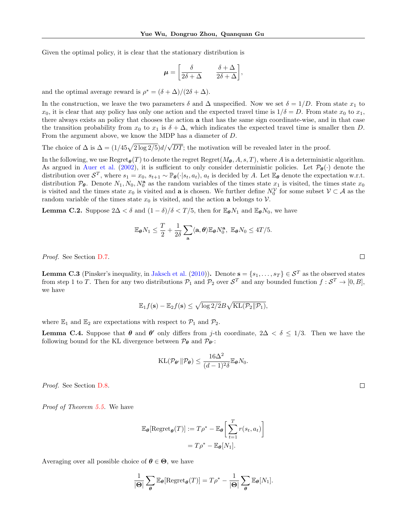Given the optimal policy, it is clear that the stationary distribution is

$$
\mu = \left[\begin{array}{cc} \delta & \delta + \Delta \\ \hline 2\delta + \Delta & 2\delta + \Delta \end{array}\right],
$$

and the optimal average reward is  $\rho^* = (\delta + \Delta)/(2\delta + \Delta)$ .

In the construction, we leave the two parameters  $\delta$  and  $\Delta$  unspecified. Now we set  $\delta = 1/D$ . From state  $x_1$  to  $x_0$ , it is clear that any policy has only one action and the expected travel time is  $1/\delta = D$ . From state  $x_0$  to  $x_1$ , there always exists an policy that chooses the action a that has the same sign coordinate-wise, and in that case the transition probability from  $x_0$  to  $x_1$  is  $\delta + \Delta$ , which indicates the expected travel time is smaller then D. From the argument above, we know the MDP has a diameter of D.

The choice of  $\Delta$  is  $\Delta = (1/45\sqrt{2 \log 2/5})d/\sqrt{DT}$ ; the motivation will be revealed later in the proof.

In the following, we use  $\text{Regret}_{\theta}(T)$  to denote the regret  $\text{Regret}(M_{\theta}, A, s, T)$ , where A is a deterministic algorithm. As argued in [Auer et al.](#page--1-63) [\(2002\)](#page--1-63), it is sufficient to only consider deterministic policies. Let  $\mathcal{P}_{\theta}(\cdot)$  denote the distribution over  $S^T$ , where  $s_1 = x_0$ ,  $s_{t+1} \sim \mathbb{P}_{\theta}(\cdot | s_t, a_t)$ ,  $a_t$  is decided by A. Let  $\mathbb{E}_{\theta}$  denote the expectation w.r.t. distribution  $\mathcal{P}_{\theta}$ . Denote  $N_1, N_0, N_0^{\mathbf{a}}$  as the random variables of the times state  $x_1$  is visited, the times state  $x_0$ is visited and the times state  $x_0$  is visited and **a** is chosen. We further define  $N_0^{\mathcal{V}}$  for some subset  $\mathcal{V} \subset \mathcal{A}$  as the random variable of the times state  $x_0$  is visited, and the action a belongs to  $\mathcal V$ .

**Lemma C.2.** Suppose  $2\Delta < \delta$  and  $(1 - \delta)/\delta < T/5$ , then for  $\mathbb{E}_{\theta}N_1$  and  $\mathbb{E}_{\theta}N_0$ , we have

$$
\mathbb{E}_{\boldsymbol{\theta}}N_1 \leq \frac{T}{2} + \frac{1}{2\delta} \sum_{\mathbf{a}} \langle \mathbf{a}, \boldsymbol{\theta} \rangle \mathbb{E}_{\boldsymbol{\theta}}N_0^{\mathbf{a}}, \ \mathbb{E}_{\boldsymbol{\theta}}N_0 \leq 4T/5.
$$

Proof. See Section D.7.

**Lemma C.3** (Pinsker's inequality, in [Jaksch et al.](#page--1-3) [\(2010\)](#page--1-3)). Denote  $\mathbf{s} = \{s_1, \ldots, s_T\} \in \mathcal{S}^T$  as the observed states from step 1 to T. Then for any two distributions  $P_1$  and  $P_2$  over  $S^T$  and any bounded function  $f: S^T \to [0, B],$ we have

$$
\mathbb{E}_1 f(\mathbf{s}) - \mathbb{E}_2 f(\mathbf{s}) \le \sqrt{\log 2/2} B \sqrt{\mathrm{KL}(\mathcal{P}_2 \| \mathcal{P}_1)},
$$

where  $\mathbb{E}_1$  and  $\mathbb{E}_2$  are expectations with respect to  $\mathcal{P}_1$  and  $\mathcal{P}_2$ .

**Lemma C.4.** Suppose that  $\theta$  and  $\theta'$  only differs from j-th coordinate,  $2\Delta < \delta \leq 1/3$ . Then we have the following bound for the KL divergence between  $\mathcal{P}_{\theta}$  and  $\mathcal{P}_{\theta'}$ :

$$
\mathrm{KL}(\mathcal{P}_{\theta'} \| \mathcal{P}_{\theta}) \leq \frac{16\Delta^2}{(d-1)^2 \delta} \mathbb{E}_{\theta} N_0.
$$

Proof. See Section D.8.

Proof of Theorem [5.5.](#page--1-61) We have

$$
\mathbb{E}_{\theta}[\text{Regret}_{\theta}(T)] := T\rho^* - \mathbb{E}_{\theta} \left[ \sum_{t=1}^T r(s_t, a_t) \right]
$$

$$
= T\rho^* - \mathbb{E}_{\theta}[N_1].
$$

Averaging over all possible choice of  $\theta \in \Theta$ , we have

$$
\frac{1}{|\Theta|} \sum_{\theta} \mathbb{E}_{\theta}[\text{Regret}_{\theta}(T)] = T\rho^* - \frac{1}{|\Theta|} \sum_{\theta} \mathbb{E}_{\theta}[N_1].
$$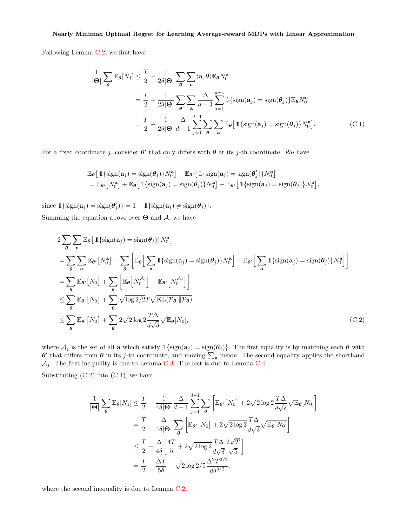Following Lemma C.2, we first have

$$
\frac{1}{|\Theta|} \sum_{\theta} \mathbb{E}_{\theta}[N_1] \leq \frac{T}{2} + \frac{1}{2\delta|\Theta|} \sum_{\theta} \sum_{\mathbf{a}} \langle \mathbf{a}, \theta \rangle \mathbb{E}_{\theta} N_0^{\mathbf{a}} \n= \frac{T}{2} + \frac{1}{2\delta|\Theta|} \sum_{\theta} \sum_{\mathbf{a}} \frac{\Delta}{d-1} \sum_{j=1}^{d-1} \mathbb{1} \{ \text{sign}(\mathbf{a}_j) = \text{sign}(\theta_j) \} \mathbb{E}_{\theta} N_0^{\mathbf{a}} \n= \frac{T}{2} + \frac{1}{2\delta|\Theta|} \frac{\Delta}{d-1} \sum_{j=1}^{d-1} \sum_{\theta} \sum_{\mathbf{a}} \mathbb{E}_{\theta} [\mathbb{1} \{ \text{sign}(\mathbf{a}_j) = \text{sign}(\theta_j) \} N_0^{\mathbf{a}}].
$$
\n(C.1)

For a fixed coordinate j, consider  $\theta'$  that only differs with  $\theta$  at its j-th coordinate. We have

$$
\mathbb{E}_{\theta} \left[ \mathbb{1} \{ \text{sign}(\mathbf{a}_j) = \text{sign}(\theta_j) \} N_0^{\mathbf{a}} \right] + \mathbb{E}_{\theta'} \left[ \mathbb{1} \{ \text{sign}(\mathbf{a}_j) = \text{sign}(\theta'_j) \} N_0^{\mathbf{a}} \right] \n= \mathbb{E}_{\theta'} \left[ N_0^{\mathbf{a}} \right] + \mathbb{E}_{\theta} \left[ \mathbb{1} \{ \text{sign}(\mathbf{a}_j) = \text{sign}(\theta_j) \} N_0^{\mathbf{a}} \right] - \mathbb{E}_{\theta'} \left[ \mathbb{1} \{ \text{sign}(\mathbf{a}_j) = \text{sign}(\theta_j) \} N_0^{\mathbf{a}} \right],
$$

since  $\mathbb{1}\{\text{sign}(\mathbf{a}_j) = \text{sign}(\mathbf{\theta}'_j)\} = 1 - \mathbb{1}\{\text{sign}(\mathbf{a}_j) \neq \text{sign}(\mathbf{\theta}_j)\}.$ Summing the equation above over  $\Theta$  and  $\mathcal{A}$ , we have

$$
2\sum_{\theta} \sum_{\mathbf{a}} \mathbb{E}_{\theta} \left[ \mathbb{1} \{ \text{sign}(\mathbf{a}_{j}) = \text{sign}(\theta_{j}) \} N_{0}^{\mathbf{a}} \right]
$$
  
\n
$$
= \sum_{\theta} \sum_{\mathbf{a}} \mathbb{E}_{\theta'} \left[ N_{0}^{\mathbf{a}} \right] + \sum_{\theta} \left[ \mathbb{E}_{\theta} \left[ \sum_{\mathbf{a}} \mathbb{1} \{ \text{sign}(\mathbf{a}_{j}) = \text{sign}(\theta_{j}) \} N_{0}^{\mathbf{a}} \right] - \mathbb{E}_{\theta'} \left[ \sum_{\mathbf{a}} \mathbb{1} \{ \text{sign}(\mathbf{a}_{j}) = \text{sign}(\theta_{j}) \} N_{0}^{\mathbf{a}} \right] \right]
$$
  
\n
$$
= \sum_{\theta} \mathbb{E}_{\theta'} \left[ N_{0} \right] + \sum_{\theta} \left[ \mathbb{E}_{\theta} \left[ N_{0}^{A_{j}} \right] - \mathbb{E}_{\theta'} \left[ N_{0}^{A_{j}} \right] \right]
$$
  
\n
$$
\leq \sum_{\theta} \mathbb{E}_{\theta'} \left[ N_{0} \right] + \sum_{\theta} \sqrt{\log 2/2} T \sqrt{\text{KL}(\mathcal{P}_{\theta'} || \mathcal{P}_{\theta})}
$$
  
\n
$$
\leq \sum_{\theta} \mathbb{E}_{\theta'} \left[ N_{0} \right] + \sum_{\theta} 2 \sqrt{2 \log 2} \frac{T \Delta}{d \sqrt{\delta}} \sqrt{\mathbb{E}_{\theta}[N_{0}]}, \tag{C.2}
$$

where  $\mathcal{A}_j$  is the set of all a which satisfy  $1\{\text{sign}(\mathbf{a}_j) = \text{sign}(\theta_j)\}\.$  The first equality is by matching each  $\theta$  with  $\theta'$  that differs from  $\theta$  in its j-th coordinate, and moving  $\sum_{a}$  inside. The second equality applies the shorthand  $\mathcal{A}_j$ . The first inequality is due to Lemma C.3. The last is due to Lemma C.4.

Substituting  $(C.2)$  into  $(C.1)$ , we have

$$
\frac{1}{|\Theta|} \sum_{\theta} \mathbb{E}_{\theta}[N_1] \leq \frac{T}{2} + \frac{1}{4\delta|\Theta|} \frac{\Delta}{d-1} \sum_{j=1}^{d-1} \sum_{\theta} \left[ \mathbb{E}_{\theta'}[N_0] + 2\sqrt{2\log 2} \frac{T\Delta}{d\sqrt{\delta}} \sqrt{\mathbb{E}_{\theta}[N_0]} \right]
$$

$$
= \frac{T}{2} + \frac{\Delta}{4\delta|\Theta|} \sum_{\theta} \left[ \mathbb{E}_{\theta'}[N_0] + 2\sqrt{2\log 2} \frac{T\Delta}{d\sqrt{\delta}} \sqrt{\mathbb{E}_{\theta}[N_0]} \right]
$$

$$
\leq \frac{T}{2} + \frac{\Delta}{4\delta} \left[ \frac{4T}{5} + 2\sqrt{2\log 2} \frac{T\Delta}{d\sqrt{\delta}} \frac{2\sqrt{T}}{\sqrt{5}} \right]
$$

$$
= \frac{T}{2} + \frac{\Delta T}{5\delta} + \sqrt{2\log 2/5} \frac{\Delta^2 T^{3/2}}{d\delta^{3/2}},
$$

where the second inequality is due to Lemma C.2.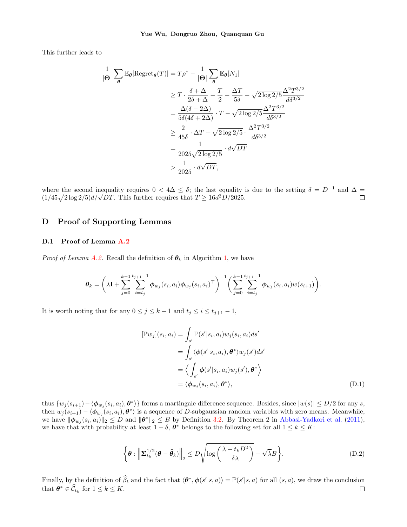This further leads to

$$
\frac{1}{|\Theta|} \sum_{\theta} \mathbb{E}_{\theta}[\text{Regret}_{\theta}(T)] = T\rho^* - \frac{1}{|\Theta|} \sum_{\theta} \mathbb{E}_{\theta}[N_1]
$$
\n
$$
\geq T \cdot \frac{\delta + \Delta}{2\delta + \Delta} - \frac{T}{2} - \frac{\Delta T}{5\delta} - \sqrt{2\log 2/5} \frac{\Delta^2 T^{3/2}}{d\delta^{3/2}}
$$
\n
$$
= \frac{\Delta(\delta - 2\Delta)}{5\delta(4\delta + 2\Delta)} \cdot T - \sqrt{2\log 2/5} \frac{\Delta^2 T^{3/2}}{d\delta^{3/2}}
$$
\n
$$
\geq \frac{2}{45\delta} \cdot \Delta T - \sqrt{2\log 2/5} \cdot \frac{\Delta^2 T^{3/2}}{d\delta^{3/2}}
$$
\n
$$
= \frac{1}{2025\sqrt{2\log 2/5}} \cdot d\sqrt{DT}
$$
\n
$$
> \frac{1}{2025} \cdot d\sqrt{DT},
$$

where the second inequality requires  $0 < 4\Delta \leq \delta$ ; the last equality is due to the setting  $\delta = D^{-1}$  and  $\Delta =$ where the second mequality requires  $0 < 4\Delta \leq \delta$ ; the last equality  $(1/45\sqrt{2\log 2/5})d/\sqrt{DT}$ . This further requires that  $T \geq 16d^2D/2025$ .  $\Box$ 

### D Proof of Supporting Lemmas

# D.1 Proof of Lemma A.2

*Proof of Lemma A.2.* Recall the definition of  $\theta_k$  in Algorithm [1,](#page--1-35) we have

$$
\theta_k = \left(\lambda \mathbf{I} + \sum_{j=0}^{k-1} \sum_{i=t_j}^{t_{j+1}-1} \phi_{w_j}(s_i, a_i) \phi_{w_j}(s_i, a_i)^{\top}\right)^{-1} \left(\sum_{j=0}^{k-1} \sum_{i=t_j}^{t_{j+1}-1} \phi_{w_j}(s_i, a_i) w(s_{i+1})\right).
$$

It is worth noting that for any  $0 \leq j \leq k-1$  and  $t_j \leq i \leq t_{j+1}-1$ ,

$$
[\mathbb{P}w_j](s_i, a_i) = \int_{s'} \mathbb{P}(s'|s_i, a_i) w_j(s_i, a_i) ds'
$$
  
= 
$$
\int_{s'} \langle \phi(s'|s_i, a_i), \theta^* \rangle w_j(s') ds'
$$
  
= 
$$
\langle \int_{s'} \phi(s'|s_i, a_i) w_j(s'), \theta^* \rangle
$$
  
= 
$$
\langle \phi_{w_j}(s_i, a_i), \theta^* \rangle,
$$
 (D.1)

thus  $\{w_j(s_{i+1}) - \langle \phi_{w_j}(s_i, a_i), \theta^* \rangle\}$  forms a martingale difference sequence. Besides, since  $|w(s)| \le D/2$  for any s, then  $w_j(s_{i+1}) - \langle \phi_{w_j}(s_i, a_i), \theta^* \rangle$  is a sequence of D-subgaussian random variables with zero means. Meanwhile, we have  $\|\phi_{w_j}(s_i, a_i)\|_2 \leq D$  and  $\|\theta^*\|_2 \leq B$  by Definition [3.2.](#page--1-64) By Theorem 2 in [Abbasi-Yadkori et al.](#page--1-20) [\(2011\)](#page--1-20), we have that with probability at least  $1 - \delta$ ,  $\theta^*$  belongs to the following set for all  $1 \leq k \leq K$ :

$$
\left\{\boldsymbol{\theta}: \left\|\boldsymbol{\Sigma}_{t_k}^{1/2}(\boldsymbol{\theta}-\widehat{\boldsymbol{\theta}}_k)\right\|_2 \le D\sqrt{\log\left(\frac{\lambda+t_kD^2}{\delta\lambda}\right)} + \sqrt{\lambda}B\right\}.
$$
\n(D.2)

Finally, by the definition of  $\hat{\beta}_t$  and the fact that  $\langle \theta^*, \phi(s'|s, a) \rangle = \mathbb{P}(s'|s, a)$  for all  $(s, a)$ , we draw the conclusion that  $\boldsymbol{\theta}^* \in \widehat{\mathcal{C}}_{t_k}$  for  $1 \leq k \leq K$ .  $\Box$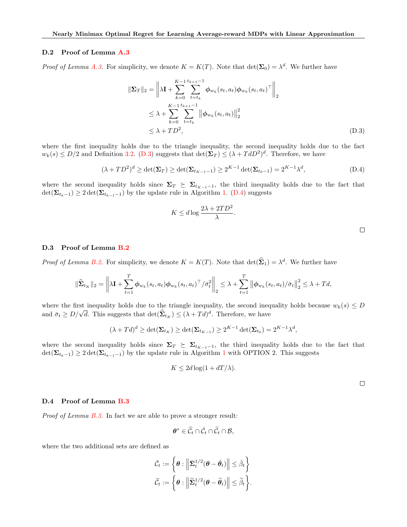### D.2 Proof of Lemma A.3

*Proof of Lemma A.3.* For simplicity, we denote  $K = K(T)$ . Note that  $\det(\Sigma_0) = \lambda^d$ . We further have

$$
\|\Sigma_T\|_2 = \left\|\lambda \mathbf{I} + \sum_{k=0}^{K-1} \sum_{t=t_k}^{t_{k+1}-1} \phi_{w_k}(s_t, a_t) \phi_{w_k}(s_t, a_t)^{\top} \right\|_2
$$
  

$$
\leq \lambda + \sum_{k=0}^{K-1} \sum_{t=t_k}^{t_{k+1}-1} \left\|\phi_{w_k}(s_t, a_t)\right\|_2^2
$$
  

$$
\leq \lambda + TD^2,
$$
 (D.3)

where the first inequality holds due to the triangle inequality, the second inequality holds due to the fact  $w_k(s) \le D/2$  and Definition [3.2.](#page--1-64) (D.3) suggests that  $\det(\Sigma_T) \le (\lambda + T dD^2)^d$ . Therefore, we have

$$
(\lambda + TD^2)^d \ge \det(\Sigma_T) \ge \det(\Sigma_{t_{K-1}-1}) \ge 2^{K-1} \det(\Sigma_{t_0-1}) = 2^{K-1} \lambda^d,
$$
\n(D.4)

where the second inequality holds since  $\Sigma_T \succeq \Sigma_{t_{K-1}-1}$ , the third inequality holds due to the fact that  $\det(\mathbf{\Sigma}_{t_{k}-1}) \geq 2 \det(\mathbf{\Sigma}_{t_{k-1}-1})$  by the update rule in Algorithm [1.](#page--1-35) (D.4) suggests

$$
K \le d \log \frac{2\lambda + 2TD^2}{\lambda}.
$$

### D.3 Proof of Lemma B.2

*Proof of Lemma B.2.* For simplicity, we denote  $K = K(T)$ . Note that  $\det(\hat{\Sigma}_1) = \lambda^d$ . We further have

$$
\|\hat{\Sigma}_{t_K}\|_{2} = \left\|\lambda \mathbf{I} + \sum_{t=1}^{T} \phi_{w_k}(s_t, a_t) \phi_{w_k}(s_t, a_t)^{\top}/\bar{\sigma}_t^2\right\|_{2} \leq \lambda + \sum_{t=1}^{T} \left\|\phi_{w_k}(s_t, a_t)/\bar{\sigma}_t\right\|_{2}^{2} \leq \lambda + Td,
$$

where the first inequality holds due to the triangle inequality, the second inequality holds because  $w_k(s) \leq D$ where the first mequanty holds due to the triangle mequanty, the second meq<br>and  $\bar{\sigma}_t \geq D/\sqrt{d}$ . This suggests that  $\det(\hat{\Sigma}_{t_K}) \leq (\lambda + Td)^d$ . Therefore, we have

$$
(\lambda + T d)^d \ge \det(\Sigma_{t_K}) \ge \det(\Sigma_{t_{K-1}}) \ge 2^{K-1} \det(\Sigma_{t_0}) = 2^{K-1} \lambda^d,
$$

where the second inequality holds since  $\Sigma_T \succeq \Sigma_{t_{K-1}-1}$ , the third inequality holds due to the fact that  $\det(\Sigma_{t_{k-1}}) \geq 2 \det(\Sigma_{t_{k-1}-1})$  $\det(\Sigma_{t_{k-1}}) \geq 2 \det(\Sigma_{t_{k-1}-1})$  $\det(\Sigma_{t_{k-1}}) \geq 2 \det(\Sigma_{t_{k-1}-1})$  by the update rule in Algorithm 1 with OPTION 2. This suggests

$$
K \le 2d \log(1 + dT/\lambda).
$$

 $\Box$ 

### D.4 Proof of Lemma B.3

Proof of Lemma B.3. In fact we are able to prove a stronger result:

$$
\boldsymbol{\theta}^* \in \widehat{\mathcal{C}}_t \cap \check{\mathcal{C}}_t \cap \widetilde{\mathcal{C}}_t \cap \mathcal{B},
$$

where the two additional sets are defined as

$$
\tilde{\mathcal{C}}_t := \left\{ \boldsymbol{\theta} : \left\| \tilde{\boldsymbol{\Sigma}}_t^{1/2} (\boldsymbol{\theta} - \check{\boldsymbol{\theta}}_t) \right\| \leq \check{\beta}_t \right\} \n\tilde{\mathcal{C}}_t := \left\{ \boldsymbol{\theta} : \left\| \tilde{\boldsymbol{\Sigma}}_t^{1/2} (\boldsymbol{\theta} - \widetilde{\boldsymbol{\theta}}_t) \right\| \leq \widetilde{\beta}_t \right\}.
$$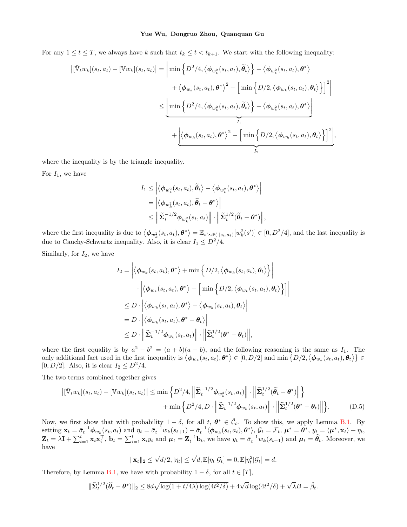For any  $1 \le t \le T$ , we always have k such that  $t_k \le t < t_{k+1}$ . We start with the following inequality:

$$
\begin{aligned}\n|\left[\bar{\mathbb{V}}_tw_k\right](s_t, a_t) - \left[\mathbb{V}w_k\right](s_t, a_t)\n\end{aligned}\n=\n\left|\min \left\{ D^2/4, \left\langle \phi_{w_k^2}(s_t, a_t), \tilde{\theta}_t \right\rangle \right\} - \left\langle \phi_{w_k^2}(s_t, a_t), \theta^* \right\rangle \\
+ \left\langle \phi_{w_k}(s_t, a_t), \theta^* \right\rangle^2 - \left[\min \left\{ D/2, \left\langle \phi_{w_k}(s_t, a_t), \theta_t \right\rangle \right\}\right]^2\n\right|\n\leq\n\left|\min \left\{ D^2/4, \left\langle \phi_{w_k^2}(s_t, a_t), \tilde{\theta}_t \right\rangle \right\} - \left\langle \phi_{w_k^2}(s_t, a_t), \theta^* \right\rangle\n\right|\n+ \left|\left\langle \phi_{w_k}(s_t, a_t), \theta^* \right\rangle^2 - \left[\min \left\{ D/2, \left\langle \phi_{w_k}(s_t, a_t), \theta_t \right\rangle \right\}\right]^2\n\right|,\n\end{aligned}
$$

where the inequality is by the triangle inequality.

For  $I_1$ , we have

$$
I_1 \leq \left| \left\langle \phi_{w_k^2}(s_t, a_t), \widetilde{\theta}_t \right\rangle - \left\langle \phi_{w_k^2}(s_t, a_t), \theta^* \right\rangle \right|
$$
  
=  $\left| \left\langle \phi_{w_k^2}(s_t, a_t), \widetilde{\theta}_t - \theta^* \right\rangle \right|$   
 $\leq \left\| \widetilde{\Sigma}_t^{-1/2} \phi_{w_k^2}(s_t, a_t) \right\| \cdot \left\| \widetilde{\Sigma}_t^{1/2} (\widetilde{\theta}_t - \theta^*) \right\|,$ 

where the first inequality is due to  $\langle \phi_{w_k^2}(s_t, a_t), \theta^* \rangle = \mathbb{E}_{s' \sim \mathbb{P}(\cdot | s_t, a_t)}[w_k^2(s')] \in [0, D^2/4]$ , and the last inequality is due to Cauchy-Schwartz inequality. Also, it is clear  $I_1 \n\t\le D^2/4$ .

Similarly, for  $I_2$ , we have

$$
I_2 = \left| \langle \phi_{w_k}(s_t, a_t), \theta^* \rangle + \min \left\{ D/2, \langle \phi_{w_k}(s_t, a_t), \theta_t \rangle \right\} \right|
$$
  

$$
\cdot \left| \langle \phi_{w_k}(s_t, a_t), \theta^* \rangle - \left[ \min \left\{ D/2, \langle \phi_{w_k}(s_t, a_t), \theta_t \rangle \right\} \right] \right|
$$
  

$$
\leq D \cdot \left| \langle \phi_{w_k}(s_t, a_t), \theta^* \rangle - \langle \phi_{w_k}(s_t, a_t), \theta_t \rangle \right|
$$
  

$$
= D \cdot \left| \langle \phi_{w_k}(s_t, a_t), \theta^* - \theta_t \rangle \right|
$$
  

$$
\leq D \cdot \left\| \hat{\Sigma}_t^{-1/2} \phi_{w_k}(s_t, a_t) \right\| \cdot \left\| \hat{\Sigma}_t^{1/2} (\theta^* - \theta_t) \right\|,
$$

where the first equality is by  $a^2 - b^2 = (a + b)(a - b)$ , and the following reasoning is the same as  $I_1$ . The only additional fact used in the first inequality is  $\langle \phi_{w_k}(s_t, a_t), \theta^* \rangle \in [0, D/2]$  and  $\min \{D/2, \langle \phi_{w_k}(s_t, a_t), \theta_t \rangle\} \in$ [0,  $D/2$ ]. Also, it is clear  $I_2 \leq D^2/4$ .

The two terms combined together gives

$$
\left| [\bar{\mathbb{V}}_t w_k](s_t, a_t) - [\mathbb{V}w_k](s_t, a_t) \right| \le \min \left\{ D^2/4, \left\| \tilde{\Sigma}_t^{-1/2} \phi_{w_k^2}(s_t, a_t) \right\| \cdot \left\| \tilde{\Sigma}_t^{1/2} (\tilde{\theta}_t - \theta^*) \right\| \right\} + \min \left\{ D^2/4, D \cdot \left\| \hat{\Sigma}_t^{-1/2} \phi_{w_k}(s_t, a_t) \right\| \cdot \left\| \hat{\Sigma}_t^{1/2} (\theta^* - \theta_t) \right\| \right\}.
$$
(D.5)

Now, we first show that with probability  $1 - \delta$ , for all  $t, \theta^* \in \check{C}_t$ . To show this, we apply Lemma B.1. By setting  $\mathbf{x}_t = \bar{\sigma}_t^{-1} \boldsymbol{\phi}_{w_k}(s_t, a_t)$  and  $\eta_t = \bar{\sigma}_t^{-1} w_k(s_{t+1}) - \bar{\sigma}_t^{-1} \langle \boldsymbol{\phi}_{w_k}(s_t, a_t), \boldsymbol{\theta}^* \rangle$ ,  $\mathcal{G}_t = \mathcal{F}_t$ ,  $\boldsymbol{\mu}^* = \boldsymbol{\theta}^*$ ,  $y_t = \langle \boldsymbol{\mu}^*, \mathbf{x}_t \rangle + \eta_t$ ,  $\mathbf{Z}_t = \lambda \mathbf{I} + \sum_{i=1}^t \mathbf{x}_i \mathbf{x}_i^{\top}$ ,  $\mathbf{b}_t = \sum_{i=1}^t \mathbf{x}_i y_i$  and  $\boldsymbol{\mu}_t = \mathbf{Z}_t^{-1} \mathbf{b}_t$ , we have  $y_t = \bar{\sigma}_t^{-1} w_k(s_{t+1})$  and  $\boldsymbol{\mu}_t = \hat{\boldsymbol{\theta}}_t$ . Moreover, we have

$$
\|\mathbf{x}_t\|_2 \leq \sqrt{d}/2, |\eta_t| \leq \sqrt{d}, \mathbb{E}[\eta_t|\mathcal{G}_t] = 0, \mathbb{E}[\eta_t^2|\mathcal{G}_t] = d.
$$

Therefore, by Lemma B.1, we have with probability  $1 - \delta$ , for all  $t \in [T]$ ,

$$
\|\widehat{\mathbf{\Sigma}}_t^{1/2} (\widehat{\boldsymbol{\theta}}_t - \boldsymbol{\theta}^*)\|_2 \leq 8d\sqrt{\log(1 + t/4\lambda)\log(4t^2/\delta)} + 4\sqrt{d}\log(4t^2/\delta) + \sqrt{\lambda}B = \check{\beta}_t.
$$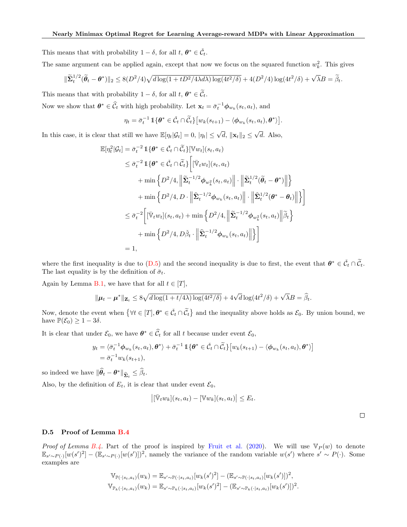This means that with probability  $1 - \delta$ , for all  $t, \theta^* \in \check{\mathcal{C}}_t$ .

The same argument can be applied again, except that now we focus on the squared function  $w_k^2$ . This gives

$$
\|\widetilde{\Sigma}_t^{1/2}(\widetilde{\theta}_t - \theta^*)\|_2 \leq 8(D^2/4)\sqrt{d\log(1 + tD^2/4\lambda d\lambda)\log(4t^2/\delta)} + 4(D^2/4)\log(4t^2/\delta) + \sqrt{\lambda}B = \widetilde{\beta}_t.
$$

This means that with probability  $1 - \delta$ , for all  $t, \theta^* \in \widetilde{C}_t$ .

Now we show that  $\theta^* \in \widehat{C}_t$  with high probability. Let  $\mathbf{x}_t = \overline{\sigma}_t^{-1} \phi_{w_k}(s_t, a_t)$ , and

$$
\eta_t = \bar{\sigma}_t^{-1} \mathbb{1}\{\theta^* \in \check{\mathcal{C}}_t \cap \widetilde{\mathcal{C}}_t\} \big[ w_k(s_{t+1}) - \langle \phi_{w_k}(s_t, a_t), \theta^* \rangle \big].
$$

In this case, it is clear that still we have  $\mathbb{E}[\eta_t|\mathcal{G}_t] = 0, |\eta_t| \le \sqrt{d}, \|\mathbf{x}_t\|_2 \le$  $d.$  Also,

$$
\mathbb{E}[\eta_t^2|\mathcal{G}_t] = \bar{\sigma}_t^{-2} \mathbb{1}\{\theta^* \in \check{C}_t \cap \widetilde{C}_t\} [\mathbb{V}w_t](s_t, a_t)
$$
\n
$$
\leq \bar{\sigma}_t^{-2} \mathbb{1}\{\theta^* \in \check{C}_t \cap \widetilde{C}_t\} \Big[ [\bar{\mathbb{V}}_t w_t](s_t, a_t)
$$
\n
$$
+ \min \Big\{ D^2/4, \Big\| \widetilde{\Sigma}_t^{-1/2} \phi_{w_k^2}(s_t, a_t) \Big\| \cdot \Big\| \widetilde{\Sigma}_t^{1/2} (\widetilde{\theta}_t - \theta^*) \Big\| \Big\}
$$
\n
$$
+ \min \Big\{ D^2/4, D \cdot \Big\| \widehat{\Sigma}_t^{-1/2} \phi_{w_k}(s_t, a_t) \Big\| \cdot \Big\| \widehat{\Sigma}_t^{1/2} (\theta^* - \theta_t) \Big\| \Big\}
$$
\n
$$
\leq \bar{\sigma}_t^{-2} \Big[ [\bar{\mathbb{V}}_t w_t](s_t, a_t) + \min \Big\{ D^2/4, \Big\| \widetilde{\Sigma}_t^{-1/2} \phi_{w_k^2}(s_t, a_t) \Big\| \widetilde{\beta}_t \Big\}
$$
\n
$$
+ \min \Big\{ D^2/4, D\check{\beta}_t \cdot \Big\| \widehat{\Sigma}_t^{-1/2} \phi_{w_k}(s_t, a_t) \Big\| \Big\} \Big]
$$
\n
$$
= 1,
$$

where the first inequality is due to  $(D.5)$  and the second inequality is due to first, the event that  $\theta^* \in \check{\mathcal{C}}_t \cap \widetilde{\mathcal{C}}_t$ . The last equality is by the definition of  $\bar{\sigma}_t$ .

Again by Lemma B.1, we have that for all  $t \in [T]$ ,

$$
\|\boldsymbol{\mu}_t - \boldsymbol{\mu}^*\|_{\mathbf{Z}_t} \le 8\sqrt{d\log(1+t/4\lambda)\log(4t^2/\delta)} + 4\sqrt{d}\log(4t^2/\delta) + \sqrt{\lambda}B = \widehat{\beta}_t.
$$

Now, denote the event when  $\{\forall t \in [T], \theta^* \in \check{\mathcal{C}}_t \cap \widetilde{\mathcal{C}}_t\}$  and the inequality above holds as  $\mathcal{E}_0$ . By union bound, we have  $\mathbb{P}(\mathcal{E}_0) \geq 1 - 3\delta$ .

It is clear that under  $\mathcal{E}_0$ , we have  $\theta^* \in \widehat{\mathcal{C}}_t$  for all t because under event  $\mathcal{E}_0$ ,

$$
y_t = \langle \bar{\sigma}_t^{-1} \phi_{w_k}(s_t, a_t), \boldsymbol{\theta}^* \rangle + \bar{\sigma}_t^{-1} \mathbb{1} \{ \boldsymbol{\theta}^* \in \check{\mathcal{C}}_t \cap \widetilde{\mathcal{C}}_t \} \big[ w_k(s_{t+1}) - \langle \phi_{w_k}(s_t, a_t), \boldsymbol{\theta}^* \rangle \big]
$$
  
=  $\bar{\sigma}_t^{-1} w_k(s_{t+1}),$ 

so indeed we have  $\|\widehat{\theta}_t - \theta^*\|_{\widehat{\Sigma}_t} \leq \widehat{\beta}_t.$ 

Also, by the definition of  $E_t$ , it is clear that under event  $\mathcal{E}_0$ ,

$$
\left|[\bar{\mathbb{V}}_t w_k](s_t, a_t) - [\mathbb{V} w_k](s_t, a_t)\right| \leq E_t.
$$

 $\Box$ 

### D.5 Proof of Lemma B.4

*Proof of Lemma B.4.* Part of the proof is inspired by [Fruit et al.](#page--1-26) [\(2020\)](#page--1-26). We will use  $\mathbb{V}_P(w)$  to denote  $\mathbb{E}_{s' \sim P(\cdot)}[w(s')^2] - (\mathbb{E}_{s' \sim P(\cdot)}[w(s')])^2$ , namely the variance of the random variable  $w(s')$  where  $s' \sim P(\cdot)$ . Some examples are

$$
\mathbb{V}_{\mathbb{P}(\cdot|s_t, a_t)}(w_k) = \mathbb{E}_{s' \sim \mathbb{P}(\cdot|s_t, a_t)}[w_k(s')^2] - (\mathbb{E}_{s' \sim \mathbb{P}(\cdot|s_t, a_t)}[w_k(s')])^2,
$$
  

$$
\mathbb{V}_{\mathbb{P}_k(\cdot|s_t, a_t)}(w_k) = \mathbb{E}_{s' \sim \mathbb{P}_k(\cdot|s_t, a_t)}[w_k(s')^2] - (\mathbb{E}_{s' \sim \mathbb{P}_k(\cdot|s_t, a_t)}[w_k(s')])^2.
$$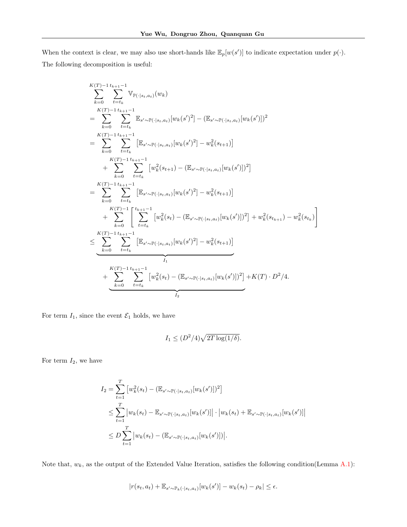When the context is clear, we may also use short-hands like  $\mathbb{E}_p[w(s')]$  to indicate expectation under  $p(\cdot)$ . The following decomposition is useful:

$$
\sum_{k=0}^{K(T)-1} \sum_{t=t_k}^{t_{k+1}-1} \mathbb{V}_{\mathbb{P}(\cdot|s_t,a_t)}(w_k)
$$
\n
$$
= \sum_{k=0}^{K(T)-1} \sum_{t=t_k}^{t_{k+1}-1} \mathbb{E}_{s' \sim \mathbb{P}(\cdot|s_t,a_t)}[w_k(s')^2] - (\mathbb{E}_{s' \sim \mathbb{P}(\cdot|s_t,a_t)}[w_k(s')])^2
$$
\n
$$
= \sum_{k=0}^{K(T)-1} \sum_{t=t_k}^{t_{k+1}-1} \left[ \mathbb{E}_{s' \sim \mathbb{P}(\cdot|s_t,a_t)}[w_k(s')^2] - w_k^2(s_{t+1}) \right]
$$
\n
$$
+ \sum_{k=0}^{K(T)-1} \sum_{t=t_k}^{t_{k+1}-1} \left[ w_k^2(s_{t+1}) - (\mathbb{E}_{s' \sim \mathbb{P}(\cdot|s_t,a_t)}[w_k(s')])^2 \right]
$$
\n
$$
= \sum_{k=0}^{K(T)-1} \sum_{t=t_k}^{t_{k+1}-1} \left[ \mathbb{E}_{s' \sim \mathbb{P}(\cdot|s_t,a_t)}[w_k(s')^2] - w_k^2(s_{t+1}) \right]
$$
\n
$$
+ \sum_{k=0}^{K(T)-1} \sum_{t=t_k}^{t_{k+1}-1} \left[ w_k^2(s_t) - (\mathbb{E}_{s' \sim \mathbb{P}(\cdot|s_t,a_t)}[w_k(s')])^2 \right] + w_k^2(s_{t_{k+1}}) - w_k^2(s_{t_k}) \right]
$$
\n
$$
\leq \sum_{k=0}^{K(T)-1} \sum_{t=t_k}^{t_{k+1}-1} \left[ \mathbb{E}_{s' \sim \mathbb{P}(\cdot|s_t,a_t)}[w_k(s')^2] - w_k^2(s_{t+1}) \right]
$$
\n
$$
+ \sum_{k=0}^{K(T)-1} \sum_{t=t_k}^{t_{k+1}-1} \left[ w_k^2(s_t) - (\mathbb{E}_{s' \sim \mathbb{P}(\cdot|s_t,a_t)}[w_k(s')])^2 \right] + K(T) \cdot D^2/4.
$$

For term  $I_1$ , since the event  $\mathcal{E}_1$  holds, we have

$$
I_1 \le (D^2/4)\sqrt{2T\log(1/\delta)}.
$$

For term  $I_2$ , we have

$$
I_2 = \sum_{t=1}^T \left[ w_k^2(s_t) - (\mathbb{E}_{s' \sim \mathbb{P}(\cdot | s_t, a_t)}[w_k(s')] )^2 \right]
$$
  
\n
$$
\leq \sum_{t=1}^T \left| w_k(s_t) - \mathbb{E}_{s' \sim \mathbb{P}(\cdot | s_t, a_t)}[w_k(s')] \right| \cdot \left| w_k(s_t) + \mathbb{E}_{s' \sim \mathbb{P}(\cdot | s_t, a_t)}[w_k(s')] \right|
$$
  
\n
$$
\leq D \sum_{t=1}^T \left| w_k(s_t) - (\mathbb{E}_{s' \sim \mathbb{P}(\cdot | s_t, a_t)}[w_k(s')] ) \right|.
$$

Note that,  $w_k$ , as the output of the Extended Value Iteration, satisfies the following condition(Lemma A.1):

$$
|r(s_t, a_t) + \mathbb{E}_{s' \sim \mathbb{P}_k(\cdot | s_t, a_t)}[w_k(s')] - w_k(s_t) - \rho_k| \le \epsilon.
$$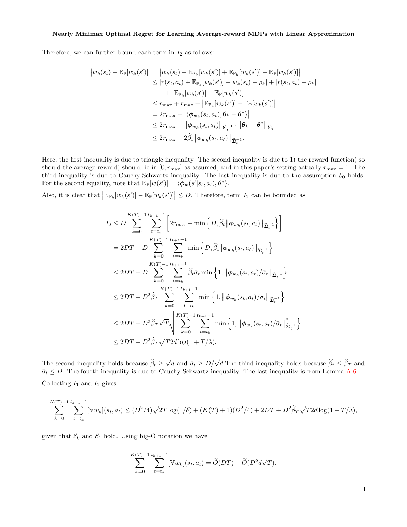Therefore, we can further bound each term in  $I_2$  as follows:

$$
|w_{k}(s_{t}) - \mathbb{E}_{\mathbb{P}}[w_{k}(s')]| = |w_{k}(s_{t}) - \mathbb{E}_{\mathbb{P}_{k}}[w_{k}(s')] + \mathbb{E}_{\mathbb{P}_{k}}[w_{k}(s')] - \mathbb{E}_{\mathbb{P}}[w_{k}(s')]
$$
  
\n
$$
\leq |r(s_{t}, a_{t}) + \mathbb{E}_{\mathbb{P}_{k}}[w_{k}(s')] - w_{k}(s_{t}) - \rho_{k}| + |r(s_{t}, a_{t}) - \rho_{k}|
$$
  
\n
$$
+ |\mathbb{E}_{\mathbb{P}_{k}}[w_{k}(s')] - \mathbb{E}_{\mathbb{P}}[w_{k}(s')]|
$$
  
\n
$$
\leq r_{\max} + r_{\max} + |\mathbb{E}_{\mathbb{P}_{k}}[w_{k}(s')] - \mathbb{E}_{\mathbb{P}}[w_{k}(s')]|
$$
  
\n
$$
= 2r_{\max} + |\langle \phi_{w_{k}}(s_{t}, a_{t}), \theta_{k} - \theta^{*} \rangle|
$$
  
\n
$$
\leq 2r_{\max} + ||\phi_{w_{k}}(s_{t}, a_{t})||_{\mathbf{\hat{\Sigma}}_{t}^{-1}} \cdot ||\theta_{k} - \theta^{*}||_{\mathbf{\hat{\Sigma}}_{t}}
$$
  
\n
$$
\leq 2r_{\max} + 2\hat{\beta}_{t} ||\phi_{w_{k}}(s_{t}, a_{t})||_{\mathbf{\hat{\Sigma}}_{t}^{-1}}.
$$

Here, the first inequality is due to triangle inequality. The second inequality is due to 1) the reward function( so should the average reward) should lie in  $[0, r_{\text{max}}]$  as assumed, and in this paper's setting actually  $r_{\text{max}} = 1$ . The third inequality is due to Cauchy-Schwartz inequality. The last inequality is due to the assumption  $\mathcal{E}_0$  holds. For the second equality, note that  $\mathbb{E}_{\mathbb{P}}[w(s')] = \langle \phi_w(s' | s_t, a_t), \theta^* \rangle$ .

Also, it is clear that  $\left|\mathbb{E}_{\mathbb{P}_k}[w_k(s')] - \mathbb{E}_{\mathbb{P}}[w_k(s')] \right| \leq D$ . Therefore, term  $I_2$  can be bounded as

$$
I_{2} \leq D \sum_{k=0}^{K(T)-1} \sum_{t=t_{k}}^{t_{k+1}-1} \left[ 2r_{\max} + \min \left\{ D, \hat{\beta}_{t} \middle\| \phi_{w_{k}}(s_{t}, a_{t}) \middle\|_{\widehat{\Sigma}_{t}^{-1}} \right\} \right]
$$
  
\n
$$
= 2DT + D \sum_{k=0}^{K(T)-1} \sum_{t=t_{k}}^{t_{k+1}-1} \min \left\{ D, \hat{\beta}_{t} \middle\| \phi_{w_{k}}(s_{t}, a_{t}) \middle\|_{\widehat{\Sigma}_{t}^{-1}} \right\}
$$
  
\n
$$
\leq 2DT + D \sum_{k=0}^{K(T)-1} \sum_{t=t_{k}}^{t_{k+1}-1} \hat{\beta}_{t} \bar{\sigma}_{t} \min \left\{ 1, \left\| \phi_{w_{k}}(s_{t}, a_{t}) / \bar{\sigma}_{t} \middle\|_{\widehat{\Sigma}_{t}^{-1}} \right\} \right\}
$$
  
\n
$$
\leq 2DT + D^{2} \hat{\beta}_{T} \sum_{k=0}^{K(T)-1} \sum_{t=t_{k}}^{t_{k+1}-1} \min \left\{ 1, \left\| \phi_{w_{k}}(s_{t}, a_{t}) / \bar{\sigma}_{t} \middle\|_{\widehat{\Sigma}_{t}^{-1}} \right\} \right\}
$$
  
\n
$$
\leq 2DT + D^{2} \hat{\beta}_{T} \sqrt{T} \sqrt{\sum_{k=0}^{K(T)-1} \sum_{t=t_{k}}^{t_{k+1}-1} \min \left\{ 1, \left\| \phi_{w_{k}}(s_{t}, a_{t}) / \bar{\sigma}_{t} \middle\|_{\widehat{\Sigma}_{t}^{-1}}^{2} \right\} \right\}
$$
  
\n
$$
\leq 2DT + D^{2} \hat{\beta}_{T} \sqrt{T} 2d \log(1 + T/\lambda).
$$

The second inequality holds because  $\beta_t \ge$  $\sqrt{d}$  and  $\bar{\sigma}_t \geq D/\sqrt{d}$ . The third inequality holds because  $\hat{\beta}_t \leq \hat{\beta}_T$  and  $\bar{\sigma}_t \leq D$ . The fourth inequality is due to Cauchy-Schwartz inequality. The last inequality is from Lemma A.6. Collecting  $I_1$  and  $I_2$  gives

$$
\sum_{k=0}^{K(T)-1} \sum_{t=t_k}^{t_{k+1}-1} [\mathbb{V}w_k](s_t, a_t) \le (D^2/4)\sqrt{2T \log(1/\delta)} + (K(T)+1)(D^2/4) + 2DT + D^2 \widehat{\beta}_T \sqrt{T2d \log(1+T/\lambda)},
$$

given that  $\mathcal{E}_0$  and  $\mathcal{E}_1$  hold. Using big-O notation we have

$$
\sum_{k=0}^{K(T)-1} \sum_{t=t_k}^{t_{k+1}-1} [\mathbb{V}w_k](s_t, a_t) = \widetilde{O}(DT) + \widetilde{O}(D^2 d\sqrt{T}).
$$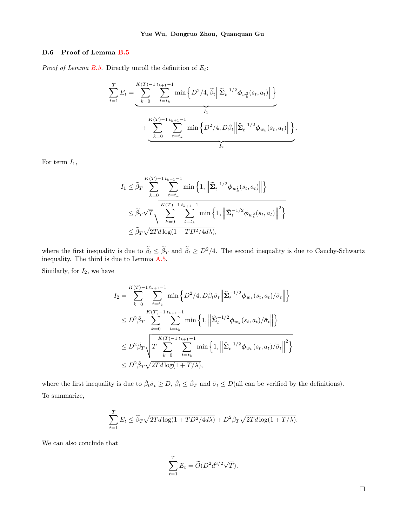### D.6 Proof of Lemma B.5

*Proof of Lemma B.5.* Directly unroll the definition of  $E_t$ :

$$
\sum_{t=1}^{T} E_t = \underbrace{\sum_{k=0}^{K(T)-1} \sum_{t=t_k}^{t_{k+1}-1} \min\left\{D^2/4, \widetilde{\beta}_t \middle\|\widetilde{\Sigma}_t^{-1/2} \phi_{w_k^2}(s_t, a_t)\middle\|\right\}}_{I_1} + \underbrace{\sum_{k=0}^{K(T)-1} \sum_{t=t_k}^{t_{k+1}-1} \min\left\{D^2/4, D\widetilde{\beta}_t \middle\|\widehat{\Sigma}_t^{-1/2} \phi_{w_k}(s_t, a_t)\middle\|\right\}}_{I_2}.
$$

For term  $I_1$ ,

$$
I_1 \leq \widetilde{\beta}_T \sum_{k=0}^{K(T)-1} \sum_{t=t_k}^{t_{k+1}-1} \min\left\{1, \left\|\widetilde{\boldsymbol{\Sigma}}_t^{-1/2} \boldsymbol{\phi}_{w_k^2}(s_t, a_t)\right\|\right\}
$$
  

$$
\leq \widetilde{\beta}_T \sqrt{T} \sqrt{\sum_{k=0}^{K(T)-1} \sum_{t=t_k}^{t_{k+1}-1} \min\left\{1, \left\|\widetilde{\boldsymbol{\Sigma}}_t^{-1/2} \boldsymbol{\phi}_{w_k^2}(s_t, a_t)\right\|^2\right\}}
$$
  

$$
\leq \widetilde{\beta}_T \sqrt{2T d \log(1+TD^2/4d\lambda)},
$$

where the first inequality is due to  $\beta_t \leq \beta_T$  and  $\beta_t \geq D^2/4$ . The second inequality is due to Cauchy-Schwartz inequality. The third is due to Lemma A.5.

Similarly, for  $I_2$ , we have

$$
I_{2} = \sum_{k=0}^{K(T)-1} \sum_{t=t_{k}}^{t_{k+1}-1} \min\left\{D^{2}/4, D\check{\beta}_{t}\bar{\sigma}_{t} \middle\|\hat{\Sigma}_{t}^{-1/2}\phi_{w_{k}}(s_{t}, a_{t})/\bar{\sigma}_{t}\right\| \leq
$$
  

$$
\leq D^{2}\check{\beta}_{T} \sum_{k=0}^{K(T)-1} \sum_{t=t_{k}}^{t_{k+1}-1} \min\left\{1, \left\|\hat{\Sigma}_{t}^{-1/2}\phi_{w_{k}}(s_{t}, a_{t})/\bar{\sigma}_{t}\right\|\right\}
$$
  

$$
\leq D^{2}\check{\beta}_{T} \sqrt{T \sum_{k=0}^{K(T)-1} \sum_{t=t_{k}}^{t_{k+1}-1} \min\left\{1, \left\|\hat{\Sigma}_{t}^{-1/2}\phi_{w_{k}}(s_{t}, a_{t})/\bar{\sigma}_{t}\right\|^{2}\right\}
$$
  

$$
\leq D^{2}\check{\beta}_{T} \sqrt{2Td\log(1+T/\lambda)},
$$

where the first inequality is due to  $\check{\beta}_t \bar{\sigma}_t \geq D, \check{\beta}_t \leq \check{\beta}_T$  and  $\bar{\sigma}_t \leq D$  (all can be verified by the definitions). To summarize,

$$
\sum_{t=1}^{T} E_t \le \tilde{\beta}_T \sqrt{2Td \log(1 + TD^2/4d\lambda)} + D^2 \tilde{\beta}_T \sqrt{2Td \log(1 + T/\lambda)}.
$$

We can also conclude that

$$
\sum_{t=1}^{T} E_t = \widetilde{O}(D^2 d^{3/2} \sqrt{T}).
$$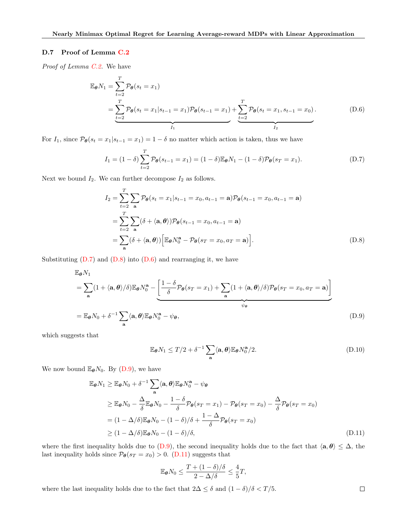### D.7 Proof of Lemma C.2

Proof of Lemma C.2. We have

$$
\mathbb{E}_{\theta} N_1 = \sum_{t=2}^{T} \mathcal{P}_{\theta}(s_t = x_1)
$$
\n
$$
= \sum_{t=2}^{T} \mathcal{P}_{\theta}(s_t = x_1 | s_{t-1} = x_1) \mathcal{P}_{\theta}(s_{t-1} = x_1) + \sum_{t=2}^{T} \mathcal{P}_{\theta}(s_t = x_1, s_{t-1} = x_0).
$$
\n(D.6)

For  $I_1$ , since  $\mathcal{P}_{\theta}(s_t = x_1 | s_{t-1} = x_1) = 1 - \delta$  no matter which action is taken, thus we have

$$
I_1 = (1 - \delta) \sum_{t=2}^{T} \mathcal{P}_{\theta}(s_{t-1} = x_1) = (1 - \delta) \mathbb{E}_{\theta} N_1 - (1 - \delta) \mathcal{P}_{\theta}(s_T = x_1).
$$
 (D.7)

Next we bound  $I_2$ . We can further decompose  $I_2$  as follows.

$$
I_2 = \sum_{t=2}^{T} \sum_{\mathbf{a}} \mathcal{P}_{\theta}(s_t = x_1 | s_{t-1} = x_0, a_{t-1} = \mathbf{a}) \mathcal{P}_{\theta}(s_{t-1} = x_0, a_{t-1} = \mathbf{a})
$$
  
= 
$$
\sum_{t=2}^{T} \sum_{\mathbf{a}} (\delta + \langle \mathbf{a}, \theta \rangle) \mathcal{P}_{\theta}(s_{t-1} = x_0, a_{t-1} = \mathbf{a})
$$
  
= 
$$
\sum_{\mathbf{a}} (\delta + \langle \mathbf{a}, \theta \rangle) \Big[ \mathbb{E}_{\theta} N_0^{\mathbf{a}} - \mathcal{P}_{\theta}(s_T = x_0, a_T = \mathbf{a}) \Big].
$$
 (D.8)

Substituting  $(D.7)$  and  $(D.8)$  into  $(D.6)$  and rearranging it, we have

$$
\mathbb{E}_{\theta} N_1
$$
\n
$$
= \sum_{\mathbf{a}} (1 + \langle \mathbf{a}, \theta \rangle / \delta) \mathbb{E}_{\theta} N_0^{\mathbf{a}} - \underbrace{\left[ \frac{1 - \delta}{\delta} \mathcal{P}_{\theta} (s_T = x_1) + \sum_{\mathbf{a}} (1 + \langle \mathbf{a}, \theta \rangle / \delta) \mathcal{P}_{\theta} (s_T = x_0, a_T = \mathbf{a}) \right]}_{\psi_{\theta}}
$$
\n
$$
= \mathbb{E}_{\theta} N_0 + \delta^{-1} \sum_{\mathbf{a}} \langle \mathbf{a}, \theta \rangle \mathbb{E}_{\theta} N_0^{\mathbf{a}} - \psi_{\theta}, \tag{D.9}
$$

which suggests that

$$
\mathbb{E}_{\theta} N_1 \le T/2 + \delta^{-1} \sum_{\mathbf{a}} \langle \mathbf{a}, \theta \rangle \mathbb{E}_{\theta} N_0^{\mathbf{a}} / 2. \tag{D.10}
$$

We now bound  $\mathbb{E}_{\theta}N_0$ . By (D.9), we have

$$
\mathbb{E}_{\theta} N_1 \ge \mathbb{E}_{\theta} N_0 + \delta^{-1} \sum_{\mathbf{a}} \langle \mathbf{a}, \theta \rangle \mathbb{E}_{\theta} N_0^{\mathbf{a}} - \psi_{\theta}
$$
\n
$$
\ge \mathbb{E}_{\theta} N_0 - \frac{\Delta}{\delta} \mathbb{E}_{\theta} N_0 - \frac{1 - \delta}{\delta} \mathcal{P}_{\theta} (s_T = x_1) - \mathcal{P}_{\theta} (s_T = x_0) - \frac{\Delta}{\delta} \mathcal{P}_{\theta} (s_T = x_0)
$$
\n
$$
= (1 - \Delta/\delta) \mathbb{E}_{\theta} N_0 - (1 - \delta)/\delta + \frac{1 - \Delta}{\delta} \mathcal{P}_{\theta} (s_T = x_0)
$$
\n
$$
\ge (1 - \Delta/\delta) \mathbb{E}_{\theta} N_0 - (1 - \delta)/\delta, \tag{D.11}
$$

where the first inequality holds due to (D.9), the second inequality holds due to the fact that  $\langle \mathbf{a}, \theta \rangle \leq \Delta$ , the last inequality holds since  $\mathcal{P}_{\theta}(s_T = x_0) > 0$ . (D.11) suggests that

$$
\mathbb{E}_{\theta} N_0 \le \frac{T + (1 - \delta)/\delta}{2 - \Delta/\delta} \le \frac{4}{5}T,
$$

where the last inequality holds due to the fact that  $2\Delta \leq \delta$  and  $(1 - \delta)/\delta < T/5$ .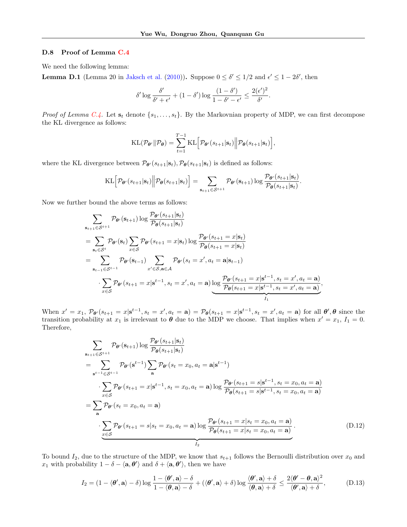#### D.8 Proof of Lemma C.4

We need the following lemma:

**Lemma D.1** (Lemma 20 in [Jaksch et al.](#page--1-3) [\(2010\)](#page--1-3)). Suppose  $0 \le \delta' \le 1/2$  and  $\epsilon' \le 1 - 2\delta'$ , then

$$
\delta' \log \frac{\delta'}{\delta' + \epsilon'} + (1 - \delta') \log \frac{(1 - \delta')}{1 - \delta' - \epsilon'} \le \frac{2(\epsilon')^2}{\delta'}.
$$

*Proof of Lemma C.4.* Let  $s_t$  denote  $\{s_1, \ldots, s_t\}$ . By the Markovnian property of MDP, we can first decompose the KL divergence as follows:

$$
\text{KL}(\mathcal{P}_{\boldsymbol{\theta}'} \| \mathcal{P}_{\boldsymbol{\theta}}) = \sum_{t=1}^{T-1} \text{KL}\Big[\mathcal{P}_{\boldsymbol{\theta}'}(s_{t+1} | \mathbf{s}_t) \Big| \Big| \mathcal{P}_{\boldsymbol{\theta}}(s_{t+1} | \mathbf{s}_t)\Big],
$$

where the KL divergence between  $\mathcal{P}_{\theta}(s_{t+1}|\mathbf{s}_t), \mathcal{P}_{\theta}(s_{t+1}|\mathbf{s}_t)$  is defined as follows:

$$
\text{KL}\Big[\mathcal{P}_{\theta'}(s_{t+1}|\mathbf{s}_t)\Big\|\mathcal{P}_{\theta}(s_{t+1}|\mathbf{s}_t)\Big] = \sum_{\mathbf{s}_{t+1}\in\mathcal{S}^{t+1}}\mathcal{P}_{\theta'}(\mathbf{s}_{t+1})\log\frac{\mathcal{P}_{\theta'}(s_{t+1}|\mathbf{s}_t)}{\mathcal{P}_{\theta}(s_{t+1}|\mathbf{s}_t)}.
$$

Now we further bound the above terms as follows:

$$
\sum_{\mathbf{s}_{t+1}\in\mathcal{S}^{t+1}} \mathcal{P}_{\theta'}(\mathbf{s}_{t+1}) \log \frac{\mathcal{P}_{\theta'}(s_{t+1}|\mathbf{s}_t)}{\mathcal{P}_{\theta}(s_{t+1}|\mathbf{s}_t)} \n= \sum_{\mathbf{s}_t\in\mathcal{S}^t} \mathcal{P}_{\theta'}(\mathbf{s}_t) \sum_{x\in\mathcal{S}} \mathcal{P}_{\theta'}(s_{t+1} = x|\mathbf{s}_t) \log \frac{\mathcal{P}_{\theta'}(s_{t+1} = x|\mathbf{s}_t)}{\mathcal{P}_{\theta}(s_{t+1} = x|\mathbf{s}_t)} \n= \sum_{\mathbf{s}_{t-1}\in\mathcal{S}^{t-1}} \mathcal{P}_{\theta'}(\mathbf{s}_{t-1}) \sum_{x'\in\mathcal{S},\mathbf{a}\in\mathcal{A}} \mathcal{P}_{\theta'}(s_t = x', a_t = \mathbf{a}|\mathbf{s}_{t-1}) \n\cdot \sum_{x\in\mathcal{S}} \mathcal{P}_{\theta'}(s_{t+1} = x|\mathbf{s}^{t-1}, s_t = x', a_t = \mathbf{a}) \log \frac{\mathcal{P}_{\theta'}(s_{t+1} = x|\mathbf{s}^{t-1}, s_t = x', a_t = \mathbf{a})}{\mathcal{P}_{\theta}(s_{t+1} = x|\mathbf{s}^{t-1}, s_t = x', a_t = \mathbf{a})},
$$

When  $x' = x_1$ ,  $\mathcal{P}_{\theta'}(s_{t+1} = x | \mathbf{s}^{t-1}, s_t = x', a_t = \mathbf{a}) = \mathcal{P}_{\theta}(s_{t+1} = x | \mathbf{s}^{t-1}, s_t = x', a_t = \mathbf{a})$  for all  $\theta', \theta$  since the transition probability at  $x_1$  is irrelevant to  $\theta$  due to the MDP we choose. That implies when  $x' = x_1, I_1 = 0$ . Therefore,

$$
\sum_{\mathbf{s}_{t+1} \in S^{t+1}} \mathcal{P}_{\theta'}(\mathbf{s}_{t+1}) \log \frac{\mathcal{P}_{\theta'}(s_{t+1}|\mathbf{s}_t)}{\mathcal{P}_{\theta}(s_{t+1}|\mathbf{s}_t)} \n= \sum_{\mathbf{s}^{t-1} \in S^{t-1}} \mathcal{P}_{\theta'}(\mathbf{s}^{t-1}) \sum_{\mathbf{a}} \mathcal{P}_{\theta'}(s_t = x_0, a_t = \mathbf{a} | \mathbf{s}^{t-1}) \n\cdot \sum_{x \in S} \mathcal{P}_{\theta'}(s_{t+1} = x | \mathbf{s}^{t-1}, s_t = x_0, a_t = \mathbf{a}) \log \frac{\mathcal{P}_{\theta'}(s_{t+1} = s | \mathbf{s}^{t-1}, s_t = x_0, a_t = \mathbf{a})}{\mathcal{P}_{\theta}(s_t = x_0, a_t = \mathbf{a})} \n= \sum_{\mathbf{a}} \mathcal{P}_{\theta'}(s_t = x_0, a_t = \mathbf{a}) \n\cdot \underbrace{\sum_{x \in S} \mathcal{P}_{\theta'}(s_{t+1} = s | s_t = x_0, a_t = \mathbf{a}) \log \frac{\mathcal{P}_{\theta'}(s_{t+1} = x | s_t = x_0, a_t = \mathbf{a})}{\mathcal{P}_{\theta}(s_{t+1} = x | s_t = x_0, a_t = \mathbf{a})} }_{I_2}.
$$
\n(D.12)

To bound  $I_2$ , due to the structure of the MDP, we know that  $s_{t+1}$  follows the Bernoulli distribution over  $x_0$  and x<sub>1</sub> with probability  $1 - \delta - \langle \mathbf{a}, \theta' \rangle$  and  $\delta + \langle \mathbf{a}, \theta' \rangle$ , then we have

$$
I_2 = (1 - \langle \boldsymbol{\theta}', \mathbf{a} \rangle - \delta) \log \frac{1 - \langle \boldsymbol{\theta}', \mathbf{a} \rangle - \delta}{1 - \langle \boldsymbol{\theta}, \mathbf{a} \rangle - \delta} + (\langle \boldsymbol{\theta}', \mathbf{a} \rangle + \delta) \log \frac{\langle \boldsymbol{\theta}', \mathbf{a} \rangle + \delta}{\langle \boldsymbol{\theta}, \mathbf{a} \rangle + \delta} \le \frac{2 \langle \boldsymbol{\theta}' - \boldsymbol{\theta}, \mathbf{a} \rangle^2}{\langle \boldsymbol{\theta}', \mathbf{a} \rangle + \delta}, \tag{D.13}
$$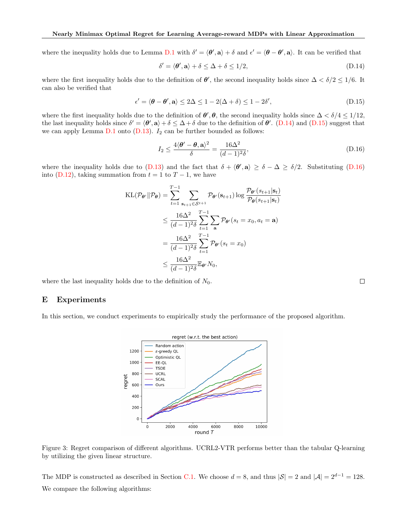where the inequality holds due to Lemma D.1 with  $\delta' = \langle \theta', \mathbf{a} \rangle + \delta$  and  $\epsilon' = \langle \theta - \theta', \mathbf{a} \rangle$ . It can be verified that

$$
\delta' = \langle \boldsymbol{\theta}', \mathbf{a} \rangle + \delta \le \Delta + \delta \le 1/2, \tag{D.14}
$$

where the first inequality holds due to the definition of  $\theta'$ , the second inequality holds since  $\Delta < \delta/2 \leq 1/6$ . It can also be verified that

$$
\epsilon' = \langle \boldsymbol{\theta} - \boldsymbol{\theta}', \mathbf{a} \rangle \le 2\Delta \le 1 - 2(\Delta + \delta) \le 1 - 2\delta', \tag{D.15}
$$

where the first inequality holds due to the definition of  $\theta', \theta$ , the second inequality holds since  $\Delta < \delta/4 \leq 1/12$ , the last inequality holds since  $\delta' = \langle \theta', \mathbf{a} \rangle + \delta \leq \Delta + \delta$  due to the definition of  $\theta'$ . (D.14) and (D.15) suggest that we can apply Lemma  $D.1$  onto  $(D.13)$ .  $I_2$  can be further bounded as follows:

$$
I_2 \le \frac{4(\theta' - \theta, \mathbf{a})^2}{\delta} = \frac{16\Delta^2}{(d-1)^2 \delta},\tag{D.16}
$$

where the inequality holds due to (D.13) and the fact that  $\delta + \langle \theta', \mathbf{a} \rangle \geq \delta - \Delta \geq \delta/2$ . Substituting (D.16) into (D.12), taking summation from  $t = 1$  to  $T - 1$ , we have

$$
\begin{split} \text{KL}(\mathcal{P}_{\theta'} \| \mathcal{P}_{\theta}) &= \sum_{t=1}^{T-1} \sum_{\mathbf{s}_{t+1} \in \mathcal{S}^{t+1}} \mathcal{P}_{\theta'}(\mathbf{s}_{t+1}) \log \frac{\mathcal{P}_{\theta'}(s_{t+1} | \mathbf{s}_t)}{\mathcal{P}_{\theta}(s_{t+1} | \mathbf{s}_t)} \\ &\leq \frac{16\Delta^2}{(d-1)^2 \delta} \sum_{t=1}^{T-1} \sum_{\mathbf{a}} \mathcal{P}_{\theta'}(s_t = x_0, a_t = \mathbf{a}) \\ &= \frac{16\Delta^2}{(d-1)^2 \delta} \sum_{t=1}^{T-1} \mathcal{P}_{\theta'}(s_t = x_0) \\ &\leq \frac{16\Delta^2}{(d-1)^2 \delta} \mathbb{E}_{\theta'} N_0, \end{split}
$$

where the last inequality holds due to the definition of  $N_0$ .

# E Experiments

In this section, we conduct experiments to empirically study the performance of the proposed algorithm.

regret (w.r.t. the best action)



Figure 3: Regret comparison of different algorithms. UCRL2-VTR performs better than the tabular Q-learning by utilizing the given linear structure.

The MDP is constructed as described in Section C.1. We choose  $d = 8$ , and thus  $|\mathcal{S}| = 2$  and  $|\mathcal{A}| = 2^{d-1} = 128$ . We compare the following algorithms: